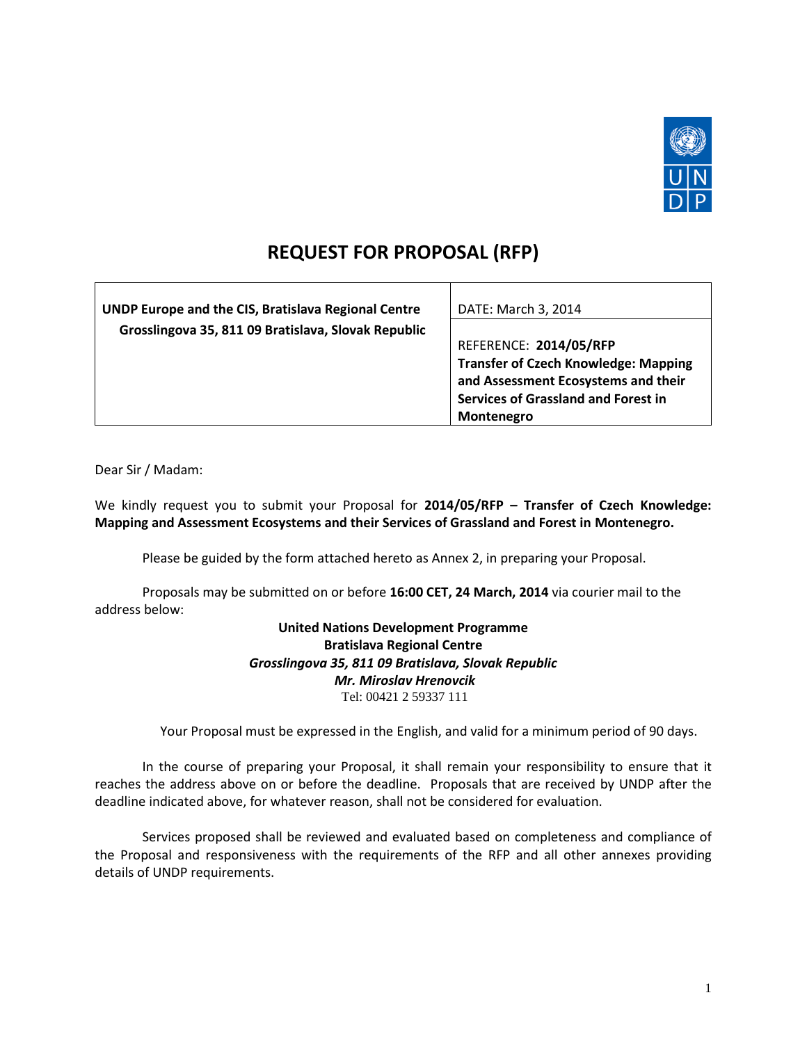

# **REQUEST FOR PROPOSAL (RFP)**

| UNDP Europe and the CIS, Bratislava Regional Centre | DATE: March 3, 2014                         |
|-----------------------------------------------------|---------------------------------------------|
| Grosslingova 35, 811 09 Bratislava, Slovak Republic |                                             |
|                                                     | REFERENCE: 2014/05/RFP                      |
|                                                     | <b>Transfer of Czech Knowledge: Mapping</b> |
|                                                     | and Assessment Ecosystems and their         |
|                                                     | <b>Services of Grassland and Forest in</b>  |
|                                                     | Montenegro                                  |

Dear Sir / Madam:

We kindly request you to submit your Proposal for **2014/05/RFP – Transfer of Czech Knowledge: Mapping and Assessment Ecosystems and their Services of Grassland and Forest in Montenegro.**

Please be guided by the form attached hereto as Annex 2, in preparing your Proposal.

Proposals may be submitted on or before **16:00 CET, 24 March, 2014** via courier mail to the address below:

> **United Nations Development Programme Bratislava Regional Centre** *Grosslingova 35, 811 09 Bratislava, Slovak Republic Mr. Miroslav Hrenovcik* Tel: 00421 2 59337 111

Your Proposal must be expressed in the English, and valid for a minimum period of 90 days.

In the course of preparing your Proposal, it shall remain your responsibility to ensure that it reaches the address above on or before the deadline. Proposals that are received by UNDP after the deadline indicated above, for whatever reason, shall not be considered for evaluation.

Services proposed shall be reviewed and evaluated based on completeness and compliance of the Proposal and responsiveness with the requirements of the RFP and all other annexes providing details of UNDP requirements.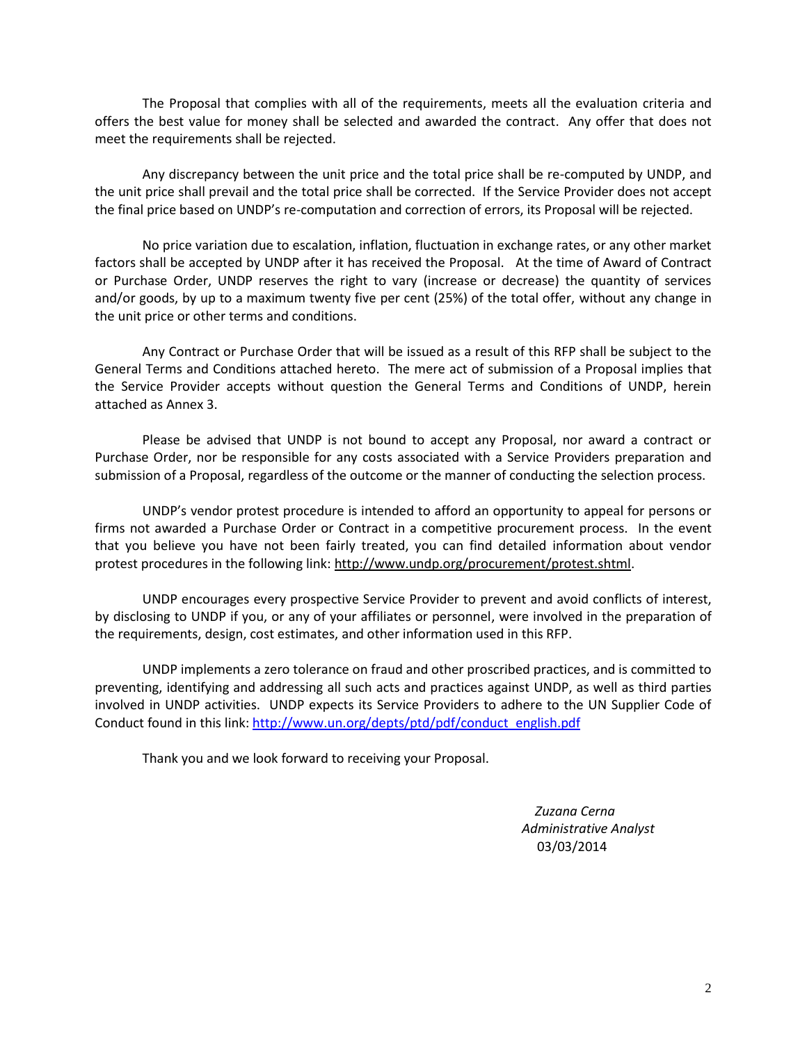The Proposal that complies with all of the requirements, meets all the evaluation criteria and offers the best value for money shall be selected and awarded the contract. Any offer that does not meet the requirements shall be rejected.

Any discrepancy between the unit price and the total price shall be re-computed by UNDP, and the unit price shall prevail and the total price shall be corrected. If the Service Provider does not accept the final price based on UNDP's re-computation and correction of errors, its Proposal will be rejected.

No price variation due to escalation, inflation, fluctuation in exchange rates, or any other market factors shall be accepted by UNDP after it has received the Proposal. At the time of Award of Contract or Purchase Order, UNDP reserves the right to vary (increase or decrease) the quantity of services and/or goods, by up to a maximum twenty five per cent (25%) of the total offer, without any change in the unit price or other terms and conditions.

Any Contract or Purchase Order that will be issued as a result of this RFP shall be subject to the General Terms and Conditions attached hereto. The mere act of submission of a Proposal implies that the Service Provider accepts without question the General Terms and Conditions of UNDP, herein attached as Annex 3.

Please be advised that UNDP is not bound to accept any Proposal, nor award a contract or Purchase Order, nor be responsible for any costs associated with a Service Providers preparation and submission of a Proposal, regardless of the outcome or the manner of conducting the selection process.

UNDP's vendor protest procedure is intended to afford an opportunity to appeal for persons or firms not awarded a Purchase Order or Contract in a competitive procurement process. In the event that you believe you have not been fairly treated, you can find detailed information about vendor protest procedures in the following link[: http://www.undp.org/procurement/protest.shtml.](http://www.undp.org/procurement/protest.shtml)

UNDP encourages every prospective Service Provider to prevent and avoid conflicts of interest, by disclosing to UNDP if you, or any of your affiliates or personnel, were involved in the preparation of the requirements, design, cost estimates, and other information used in this RFP.

UNDP implements a zero tolerance on fraud and other proscribed practices, and is committed to preventing, identifying and addressing all such acts and practices against UNDP, as well as third parties involved in UNDP activities. UNDP expects its Service Providers to adhere to the UN Supplier Code of Conduct found in this link: [http://www.un.org/depts/ptd/pdf/conduct\\_english.pdf](http://www.un.org/depts/ptd/pdf/conduct_english.pdf)

Thank you and we look forward to receiving your Proposal.

 *Zuzana Cerna Administrative Analyst* 03/03/2014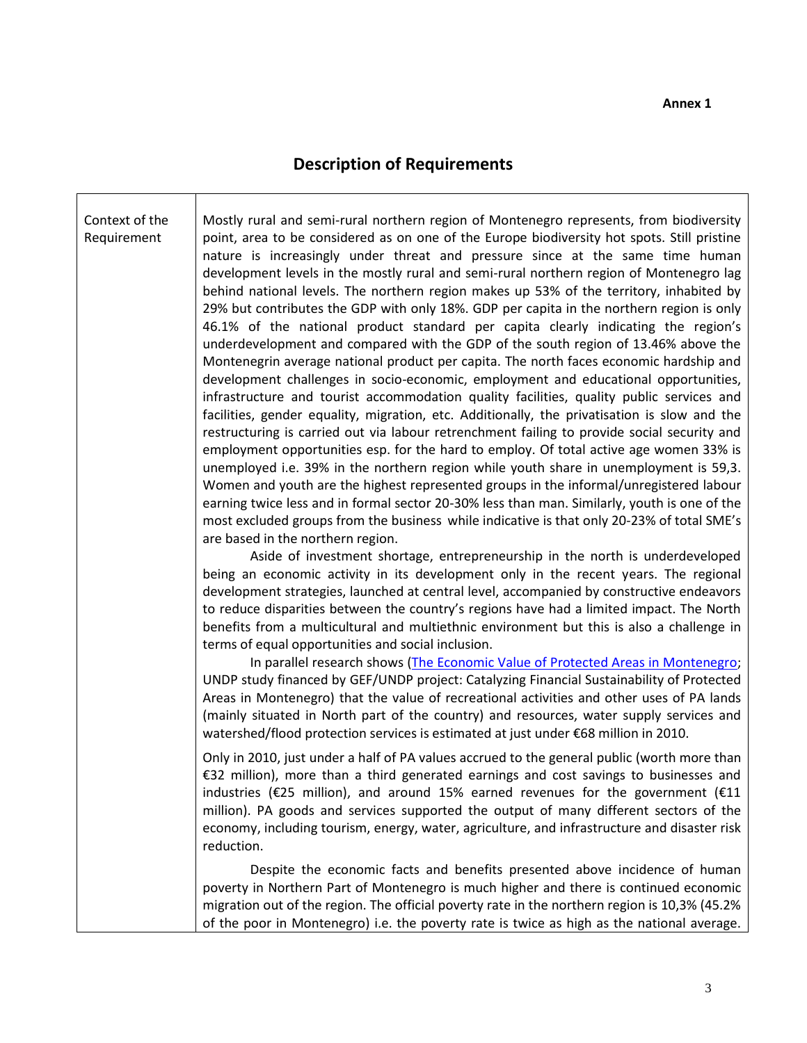# **Description of Requirements**

Context of the Requirement Mostly rural and semi-rural northern region of Montenegro represents, from biodiversity point, area to be considered as on one of the Europe biodiversity hot spots. Still pristine nature is increasingly under threat and pressure since at the same time human development levels in the mostly rural and semi-rural northern region of Montenegro lag behind national levels. The northern region makes up 53% of the territory, inhabited by 29% but contributes the GDP with only 18%. GDP per capita in the northern region is only 46.1% of the national product standard per capita clearly indicating the region's underdevelopment and compared with the GDP of the south region of 13.46% above the Montenegrin average national product per capita. The north faces economic hardship and development challenges in socio-economic, employment and educational opportunities, infrastructure and tourist accommodation quality facilities, quality public services and facilities, gender equality, migration, etc. Additionally, the privatisation is slow and the restructuring is carried out via labour retrenchment failing to provide social security and employment opportunities esp. for the hard to employ. Of total active age women 33% is unemployed i.e. 39% in the northern region while youth share in unemployment is 59,3. Women and youth are the highest represented groups in the informal/unregistered labour earning twice less and in formal sector 20-30% less than man. Similarly, youth is one of the most excluded groups from the business while indicative is that only 20-23% of total SME's are based in the northern region. Aside of investment shortage, entrepreneurship in the north is underdeveloped being an economic activity in its development only in the recent years. The regional development strategies, launched at central level, accompanied by constructive endeavors to reduce disparities between the country's regions have had a limited impact. The North benefits from a multicultural and multiethnic environment but this is also a challenge in terms of equal opportunities and social inclusion. In parallel research shows [\(The Economic Value of Protected Areas in Montenegro;](http://www.undp.org.me/ee/projects/GEF/Catalyzing%20financial%20sustainability%20of%20the%20protected%20areas%20system%20in%20Montenegro%20(PAF)/index.html) UNDP study financed by GEF/UNDP project: Catalyzing Financial Sustainability of Protected Areas in Montenegro) that the value of recreational activities and other uses of PA lands (mainly situated in North part of the country) and resources, water supply services and watershed/flood protection services is estimated at just under €68 million in 2010. Only in 2010, just under a half of PA values accrued to the general public (worth more than €32 million), more than a third generated earnings and cost savings to businesses and industries (€25 million), and around 15% earned revenues for the government (€11 million). PA goods and services supported the output of many different sectors of the economy, including tourism, energy, water, agriculture, and infrastructure and disaster risk reduction. Despite the economic facts and benefits presented above incidence of human poverty in Northern Part of Montenegro is much higher and there is continued economic migration out of the region. The official poverty rate in the northern region is 10,3% (45.2%

of the poor in Montenegro) i.e. the poverty rate is twice as high as the national average.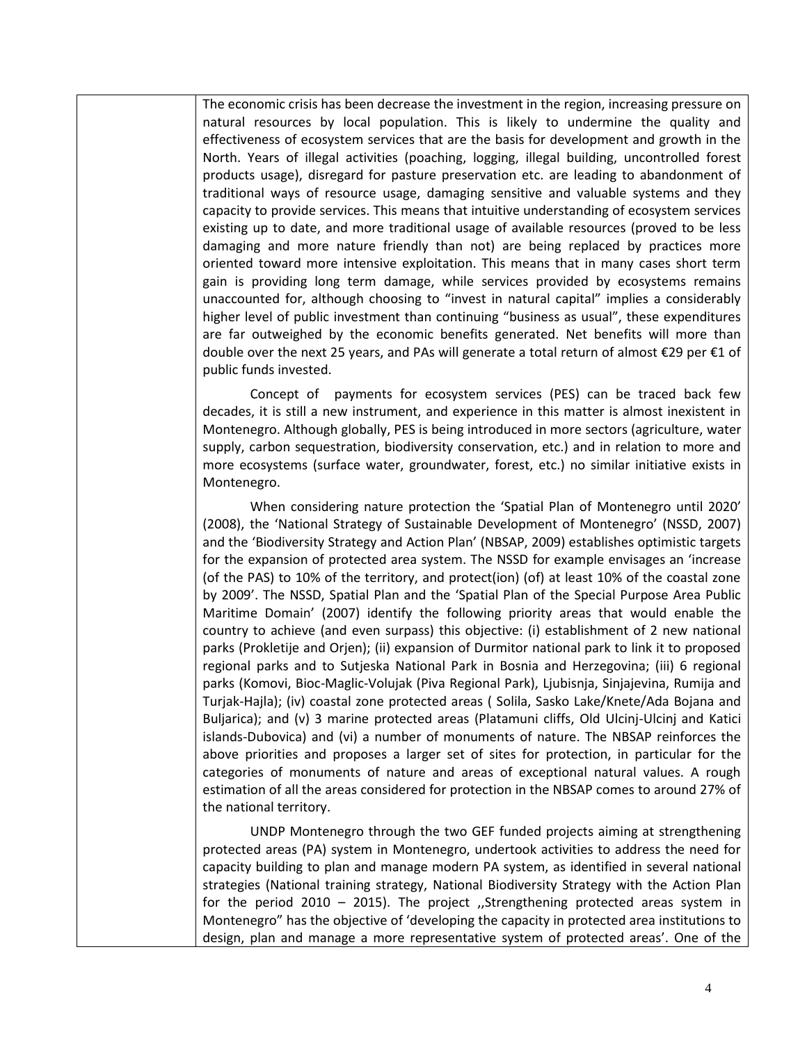The economic crisis has been decrease the investment in the region, increasing pressure on natural resources by local population. This is likely to undermine the quality and effectiveness of ecosystem services that are the basis for development and growth in the North. Years of illegal activities (poaching, logging, illegal building, uncontrolled forest products usage), disregard for pasture preservation etc. are leading to abandonment of traditional ways of resource usage, damaging sensitive and valuable systems and they capacity to provide services. This means that intuitive understanding of ecosystem services existing up to date, and more traditional usage of available resources (proved to be less damaging and more nature friendly than not) are being replaced by practices more oriented toward more intensive exploitation. This means that in many cases short term gain is providing long term damage, while services provided by ecosystems remains unaccounted for, although choosing to "invest in natural capital" implies a considerably higher level of public investment than continuing "business as usual", these expenditures are far outweighed by the economic benefits generated. Net benefits will more than double over the next 25 years, and PAs will generate a total return of almost €29 per €1 of public funds invested.

Concept of payments for ecosystem services (PES) can be traced back few decades, it is still a new instrument, and experience in this matter is almost inexistent in Montenegro. Although globally, PES is being introduced in more sectors (agriculture, water supply, carbon sequestration, biodiversity conservation, etc.) and in relation to more and more ecosystems (surface water, groundwater, forest, etc.) no similar initiative exists in Montenegro.

When considering nature protection the 'Spatial Plan of Montenegro until 2020' (2008), the 'National Strategy of Sustainable Development of Montenegro' (NSSD, 2007) and the 'Biodiversity Strategy and Action Plan' (NBSAP, 2009) establishes optimistic targets for the expansion of protected area system. The NSSD for example envisages an 'increase (of the PAS) to 10% of the territory, and protect(ion) (of) at least 10% of the coastal zone by 2009'. The NSSD, Spatial Plan and the 'Spatial Plan of the Special Purpose Area Public Maritime Domain' (2007) identify the following priority areas that would enable the country to achieve (and even surpass) this objective: (i) establishment of 2 new national parks (Prokletije and Orjen); (ii) expansion of Durmitor national park to link it to proposed regional parks and to Sutjeska National Park in Bosnia and Herzegovina; (iii) 6 regional parks (Komovi, Bioc-Maglic-Volujak (Piva Regional Park), Ljubisnja, Sinjajevina, Rumija and Turjak-Hajla); (iv) coastal zone protected areas ( Solila, Sasko Lake/Knete/Ada Bojana and Buljarica); and (v) 3 marine protected areas (Platamuni cliffs, Old Ulcinj-Ulcinj and Katici islands-Dubovica) and (vi) a number of monuments of nature. The NBSAP reinforces the above priorities and proposes a larger set of sites for protection, in particular for the categories of monuments of nature and areas of exceptional natural values. A rough estimation of all the areas considered for protection in the NBSAP comes to around 27% of the national territory.

UNDP Montenegro through the two GEF funded projects aiming at strengthening protected areas (PA) system in Montenegro, undertook activities to address the need for capacity building to plan and manage modern PA system, as identified in several national strategies (National training strategy, National Biodiversity Strategy with the Action Plan for the period 2010 – 2015). The project ,,Strengthening protected areas system in Montenegro" has the objective of 'developing the capacity in protected area institutions to design, plan and manage a more representative system of protected areas'. One of the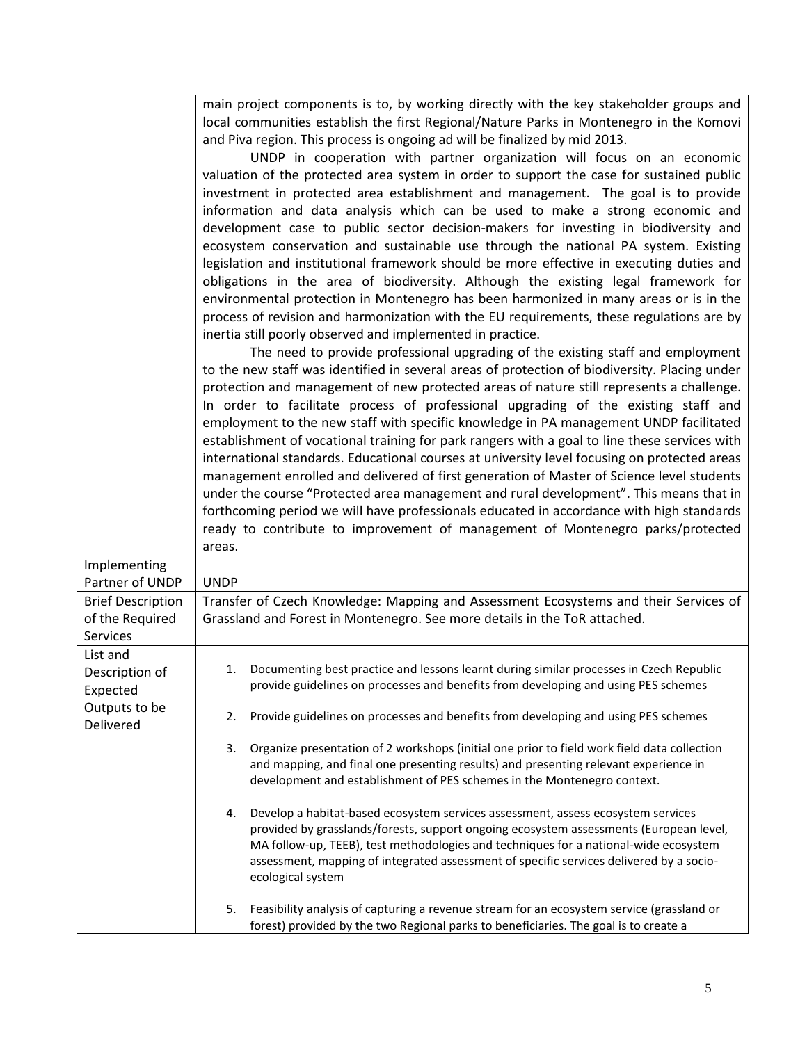|                          | main project components is to, by working directly with the key stakeholder groups and          |
|--------------------------|-------------------------------------------------------------------------------------------------|
|                          | local communities establish the first Regional/Nature Parks in Montenegro in the Komovi         |
|                          | and Piva region. This process is ongoing ad will be finalized by mid 2013.                      |
|                          | UNDP in cooperation with partner organization will focus on an economic                         |
|                          | valuation of the protected area system in order to support the case for sustained public        |
|                          | investment in protected area establishment and management. The goal is to provide               |
|                          | information and data analysis which can be used to make a strong economic and                   |
|                          |                                                                                                 |
|                          | development case to public sector decision-makers for investing in biodiversity and             |
|                          | ecosystem conservation and sustainable use through the national PA system. Existing             |
|                          | legislation and institutional framework should be more effective in executing duties and        |
|                          | obligations in the area of biodiversity. Although the existing legal framework for              |
|                          | environmental protection in Montenegro has been harmonized in many areas or is in the           |
|                          | process of revision and harmonization with the EU requirements, these regulations are by        |
|                          | inertia still poorly observed and implemented in practice.                                      |
|                          | The need to provide professional upgrading of the existing staff and employment                 |
|                          | to the new staff was identified in several areas of protection of biodiversity. Placing under   |
|                          | protection and management of new protected areas of nature still represents a challenge.        |
|                          | In order to facilitate process of professional upgrading of the existing staff and              |
|                          | employment to the new staff with specific knowledge in PA management UNDP facilitated           |
|                          | establishment of vocational training for park rangers with a goal to line these services with   |
|                          | international standards. Educational courses at university level focusing on protected areas    |
|                          | management enrolled and delivered of first generation of Master of Science level students       |
|                          | under the course "Protected area management and rural development". This means that in          |
|                          | forthcoming period we will have professionals educated in accordance with high standards        |
|                          |                                                                                                 |
|                          | ready to contribute to improvement of management of Montenegro parks/protected                  |
|                          | areas.                                                                                          |
| Implementing             |                                                                                                 |
| Partner of UNDP          | <b>UNDP</b>                                                                                     |
| <b>Brief Description</b> | Transfer of Czech Knowledge: Mapping and Assessment Ecosystems and their Services of            |
| of the Required          | Grassland and Forest in Montenegro. See more details in the ToR attached.                       |
| Services                 |                                                                                                 |
| List and                 |                                                                                                 |
| Description of           | Documenting best practice and lessons learnt during similar processes in Czech Republic<br>1.   |
| Expected                 | provide guidelines on processes and benefits from developing and using PES schemes              |
| Outputs to be            |                                                                                                 |
| Delivered                | Provide guidelines on processes and benefits from developing and using PES schemes<br>2.        |
|                          | Organize presentation of 2 workshops (initial one prior to field work field data collection     |
|                          | 3.<br>and mapping, and final one presenting results) and presenting relevant experience in      |
|                          | development and establishment of PES schemes in the Montenegro context.                         |
|                          |                                                                                                 |
|                          | Develop a habitat-based ecosystem services assessment, assess ecosystem services<br>4.          |
|                          | provided by grasslands/forests, support ongoing ecosystem assessments (European level,          |
|                          | MA follow-up, TEEB), test methodologies and techniques for a national-wide ecosystem            |
|                          | assessment, mapping of integrated assessment of specific services delivered by a socio-         |
|                          | ecological system                                                                               |
|                          |                                                                                                 |
|                          | Feasibility analysis of capturing a revenue stream for an ecosystem service (grassland or<br>5. |
|                          | forest) provided by the two Regional parks to beneficiaries. The goal is to create a            |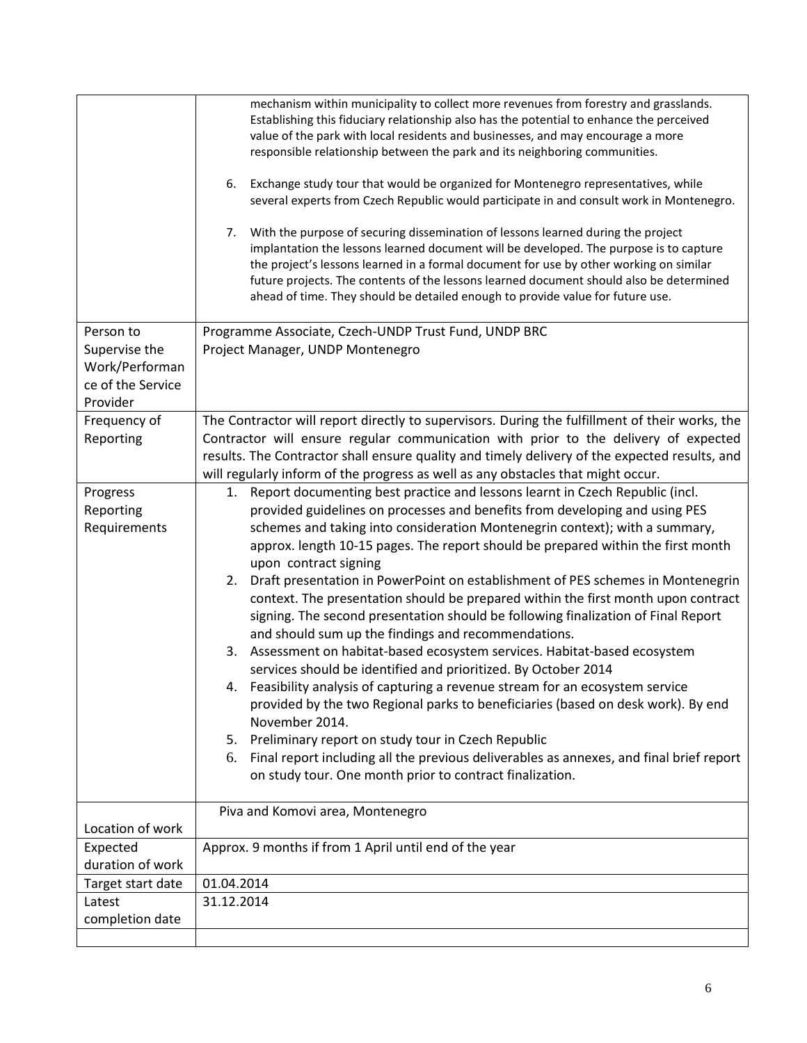|                               | mechanism within municipality to collect more revenues from forestry and grasslands.<br>Establishing this fiduciary relationship also has the potential to enhance the perceived<br>value of the park with local residents and businesses, and may encourage a more<br>responsible relationship between the park and its neighboring communities.<br>Exchange study tour that would be organized for Montenegro representatives, while<br>6.<br>several experts from Czech Republic would participate in and consult work in Montenegro.<br>With the purpose of securing dissemination of lessons learned during the project<br>7.<br>implantation the lessons learned document will be developed. The purpose is to capture<br>the project's lessons learned in a formal document for use by other working on similar<br>future projects. The contents of the lessons learned document should also be determined<br>ahead of time. They should be detailed enough to provide value for future use. |
|-------------------------------|-----------------------------------------------------------------------------------------------------------------------------------------------------------------------------------------------------------------------------------------------------------------------------------------------------------------------------------------------------------------------------------------------------------------------------------------------------------------------------------------------------------------------------------------------------------------------------------------------------------------------------------------------------------------------------------------------------------------------------------------------------------------------------------------------------------------------------------------------------------------------------------------------------------------------------------------------------------------------------------------------------|
| Person to<br>Supervise the    | Programme Associate, Czech-UNDP Trust Fund, UNDP BRC<br>Project Manager, UNDP Montenegro                                                                                                                                                                                                                                                                                                                                                                                                                                                                                                                                                                                                                                                                                                                                                                                                                                                                                                            |
| Work/Performan                |                                                                                                                                                                                                                                                                                                                                                                                                                                                                                                                                                                                                                                                                                                                                                                                                                                                                                                                                                                                                     |
| ce of the Service<br>Provider |                                                                                                                                                                                                                                                                                                                                                                                                                                                                                                                                                                                                                                                                                                                                                                                                                                                                                                                                                                                                     |
| Frequency of                  | The Contractor will report directly to supervisors. During the fulfillment of their works, the                                                                                                                                                                                                                                                                                                                                                                                                                                                                                                                                                                                                                                                                                                                                                                                                                                                                                                      |
| Reporting                     | Contractor will ensure regular communication with prior to the delivery of expected<br>results. The Contractor shall ensure quality and timely delivery of the expected results, and                                                                                                                                                                                                                                                                                                                                                                                                                                                                                                                                                                                                                                                                                                                                                                                                                |
|                               | will regularly inform of the progress as well as any obstacles that might occur.                                                                                                                                                                                                                                                                                                                                                                                                                                                                                                                                                                                                                                                                                                                                                                                                                                                                                                                    |
| Progress                      | 1. Report documenting best practice and lessons learnt in Czech Republic (incl.                                                                                                                                                                                                                                                                                                                                                                                                                                                                                                                                                                                                                                                                                                                                                                                                                                                                                                                     |
| Reporting<br>Requirements     | provided guidelines on processes and benefits from developing and using PES<br>schemes and taking into consideration Montenegrin context); with a summary,                                                                                                                                                                                                                                                                                                                                                                                                                                                                                                                                                                                                                                                                                                                                                                                                                                          |
|                               | approx. length 10-15 pages. The report should be prepared within the first month                                                                                                                                                                                                                                                                                                                                                                                                                                                                                                                                                                                                                                                                                                                                                                                                                                                                                                                    |
|                               | upon contract signing<br>2. Draft presentation in PowerPoint on establishment of PES schemes in Montenegrin                                                                                                                                                                                                                                                                                                                                                                                                                                                                                                                                                                                                                                                                                                                                                                                                                                                                                         |
|                               | context. The presentation should be prepared within the first month upon contract<br>signing. The second presentation should be following finalization of Final Report<br>and should sum up the findings and recommendations.                                                                                                                                                                                                                                                                                                                                                                                                                                                                                                                                                                                                                                                                                                                                                                       |
|                               | Assessment on habitat-based ecosystem services. Habitat-based ecosystem<br>3.<br>services should be identified and prioritized. By October 2014                                                                                                                                                                                                                                                                                                                                                                                                                                                                                                                                                                                                                                                                                                                                                                                                                                                     |
|                               | 4. Feasibility analysis of capturing a revenue stream for an ecosystem service                                                                                                                                                                                                                                                                                                                                                                                                                                                                                                                                                                                                                                                                                                                                                                                                                                                                                                                      |
|                               | provided by the two Regional parks to beneficiaries (based on desk work). By end<br>November 2014.                                                                                                                                                                                                                                                                                                                                                                                                                                                                                                                                                                                                                                                                                                                                                                                                                                                                                                  |
|                               | 5. Preliminary report on study tour in Czech Republic                                                                                                                                                                                                                                                                                                                                                                                                                                                                                                                                                                                                                                                                                                                                                                                                                                                                                                                                               |
|                               | 6. Final report including all the previous deliverables as annexes, and final brief report<br>on study tour. One month prior to contract finalization.                                                                                                                                                                                                                                                                                                                                                                                                                                                                                                                                                                                                                                                                                                                                                                                                                                              |
|                               | Piva and Komovi area, Montenegro                                                                                                                                                                                                                                                                                                                                                                                                                                                                                                                                                                                                                                                                                                                                                                                                                                                                                                                                                                    |
| Location of work<br>Expected  | Approx. 9 months if from 1 April until end of the year                                                                                                                                                                                                                                                                                                                                                                                                                                                                                                                                                                                                                                                                                                                                                                                                                                                                                                                                              |
| duration of work              |                                                                                                                                                                                                                                                                                                                                                                                                                                                                                                                                                                                                                                                                                                                                                                                                                                                                                                                                                                                                     |
| Target start date             | 01.04.2014                                                                                                                                                                                                                                                                                                                                                                                                                                                                                                                                                                                                                                                                                                                                                                                                                                                                                                                                                                                          |
| Latest                        | 31.12.2014                                                                                                                                                                                                                                                                                                                                                                                                                                                                                                                                                                                                                                                                                                                                                                                                                                                                                                                                                                                          |
| completion date               |                                                                                                                                                                                                                                                                                                                                                                                                                                                                                                                                                                                                                                                                                                                                                                                                                                                                                                                                                                                                     |
|                               |                                                                                                                                                                                                                                                                                                                                                                                                                                                                                                                                                                                                                                                                                                                                                                                                                                                                                                                                                                                                     |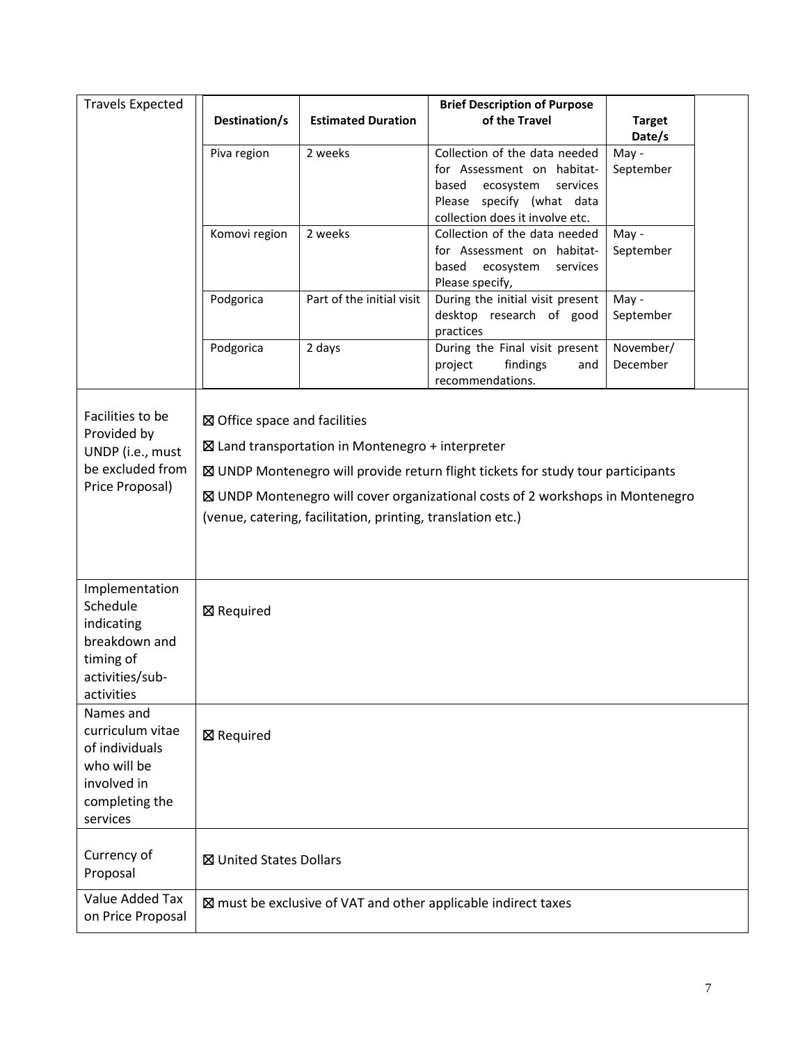| <b>Travels Expected</b>              |                                |                                                             | <b>Brief Description of Purpose</b>                                              |               |
|--------------------------------------|--------------------------------|-------------------------------------------------------------|----------------------------------------------------------------------------------|---------------|
|                                      | Destination/s                  | <b>Estimated Duration</b>                                   | of the Travel                                                                    | <b>Target</b> |
|                                      |                                |                                                             |                                                                                  | Date/s        |
|                                      | Piva region                    | 2 weeks                                                     | Collection of the data needed<br>for Assessment on habitat-                      | May -         |
|                                      |                                |                                                             | based<br>ecosystem<br>services                                                   | September     |
|                                      |                                |                                                             | Please specify (what data                                                        |               |
|                                      |                                |                                                             | collection does it involve etc.                                                  |               |
|                                      | Komovi region                  | 2 weeks                                                     | Collection of the data needed                                                    | May -         |
|                                      |                                |                                                             | for Assessment on habitat-                                                       | September     |
|                                      |                                |                                                             | based<br>ecosystem<br>services<br>Please specify,                                |               |
|                                      | Podgorica                      | Part of the initial visit                                   | During the initial visit present                                                 | May -         |
|                                      |                                |                                                             | desktop research of good                                                         | September     |
|                                      |                                |                                                             | practices                                                                        |               |
|                                      | Podgorica                      | 2 days                                                      | During the Final visit present                                                   | November/     |
|                                      |                                |                                                             | findings<br>project<br>and                                                       | December      |
|                                      |                                |                                                             | recommendations.                                                                 |               |
| Facilities to be                     |                                |                                                             |                                                                                  |               |
| Provided by                          | ⊠ Office space and facilities  |                                                             |                                                                                  |               |
| UNDP (i.e., must                     |                                | $\boxtimes$ Land transportation in Montenegro + interpreter |                                                                                  |               |
| be excluded from                     |                                |                                                             | ⊠ UNDP Montenegro will provide return flight tickets for study tour participants |               |
| Price Proposal)                      |                                |                                                             | ⊠ UNDP Montenegro will cover organizational costs of 2 workshops in Montenegro   |               |
|                                      |                                | (venue, catering, facilitation, printing, translation etc.) |                                                                                  |               |
|                                      |                                |                                                             |                                                                                  |               |
|                                      |                                |                                                             |                                                                                  |               |
|                                      |                                |                                                             |                                                                                  |               |
| Implementation                       |                                |                                                             |                                                                                  |               |
| Schedule                             | ⊠ Required                     |                                                             |                                                                                  |               |
| indicating                           |                                |                                                             |                                                                                  |               |
| breakdown and                        |                                |                                                             |                                                                                  |               |
| timing of                            |                                |                                                             |                                                                                  |               |
| activities/sub-<br>activities        |                                |                                                             |                                                                                  |               |
| Names and                            |                                |                                                             |                                                                                  |               |
| curriculum vitae                     |                                |                                                             |                                                                                  |               |
| of individuals                       | ⊠ Required                     |                                                             |                                                                                  |               |
| who will be                          |                                |                                                             |                                                                                  |               |
| involved in                          |                                |                                                             |                                                                                  |               |
| completing the                       |                                |                                                             |                                                                                  |               |
| services                             |                                |                                                             |                                                                                  |               |
| Currency of                          | <b>⊠</b> United States Dollars |                                                             |                                                                                  |               |
| Proposal                             |                                |                                                             |                                                                                  |               |
| Value Added Tax<br>on Price Proposal |                                |                                                             | ⊠ must be exclusive of VAT and other applicable indirect taxes                   |               |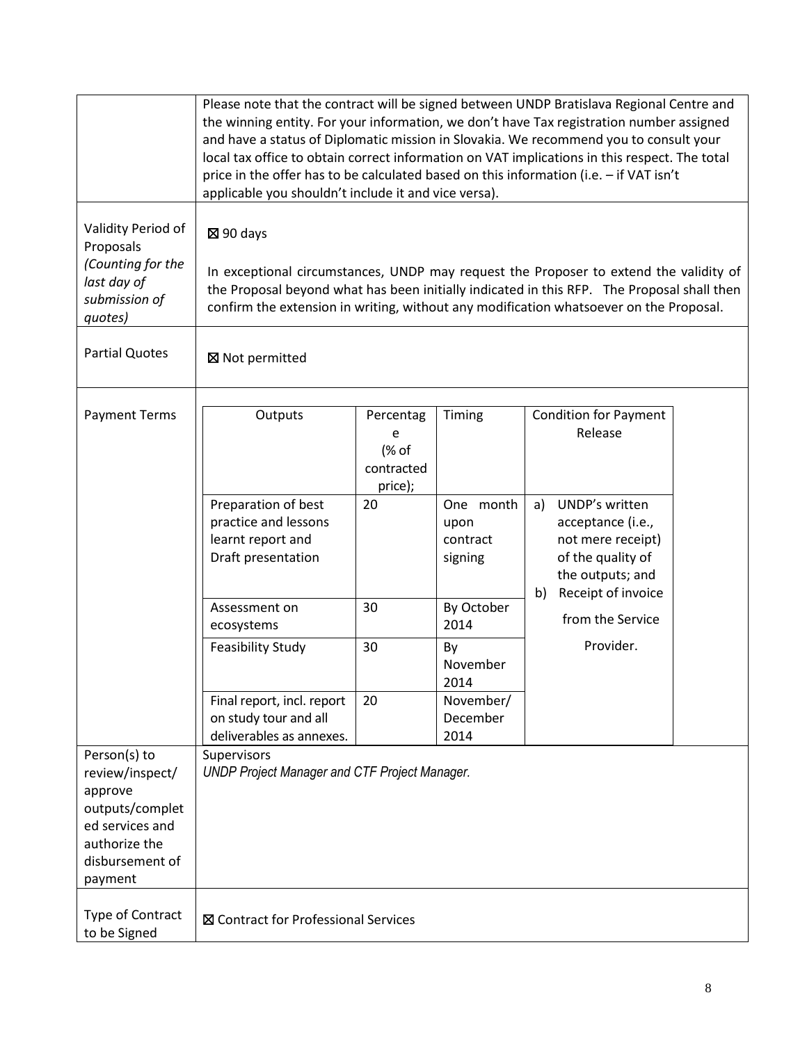|                                                                                                                                 | Please note that the contract will be signed between UNDP Bratislava Regional Centre and<br>the winning entity. For your information, we don't have Tax registration number assigned<br>and have a status of Diplomatic mission in Slovakia. We recommend you to consult your<br>local tax office to obtain correct information on VAT implications in this respect. The total<br>price in the offer has to be calculated based on this information (i.e. - if VAT isn't<br>applicable you shouldn't include it and vice versa). |                                                  |                                          |                                                                                                                                     |  |  |  |
|---------------------------------------------------------------------------------------------------------------------------------|----------------------------------------------------------------------------------------------------------------------------------------------------------------------------------------------------------------------------------------------------------------------------------------------------------------------------------------------------------------------------------------------------------------------------------------------------------------------------------------------------------------------------------|--------------------------------------------------|------------------------------------------|-------------------------------------------------------------------------------------------------------------------------------------|--|--|--|
| Validity Period of<br>Proposals<br>(Counting for the<br>last day of<br>submission of<br>quotes)                                 | $\boxtimes$ 90 days<br>In exceptional circumstances, UNDP may request the Proposer to extend the validity of<br>the Proposal beyond what has been initially indicated in this RFP. The Proposal shall then<br>confirm the extension in writing, without any modification whatsoever on the Proposal.                                                                                                                                                                                                                             |                                                  |                                          |                                                                                                                                     |  |  |  |
| <b>Partial Quotes</b>                                                                                                           | ⊠ Not permitted                                                                                                                                                                                                                                                                                                                                                                                                                                                                                                                  |                                                  |                                          |                                                                                                                                     |  |  |  |
| <b>Payment Terms</b>                                                                                                            | Outputs                                                                                                                                                                                                                                                                                                                                                                                                                                                                                                                          | Percentag<br>e<br>(% of<br>contracted<br>price); | Timing                                   | <b>Condition for Payment</b><br>Release                                                                                             |  |  |  |
|                                                                                                                                 | Preparation of best<br>practice and lessons<br>learnt report and<br>Draft presentation                                                                                                                                                                                                                                                                                                                                                                                                                                           | 20                                               | One month<br>upon<br>contract<br>signing | UNDP's written<br>a)<br>acceptance (i.e.,<br>not mere receipt)<br>of the quality of<br>the outputs; and<br>Receipt of invoice<br>b) |  |  |  |
|                                                                                                                                 | Assessment on<br>ecosystems                                                                                                                                                                                                                                                                                                                                                                                                                                                                                                      | 30                                               | By October<br>2014                       | from the Service                                                                                                                    |  |  |  |
|                                                                                                                                 | <b>Feasibility Study</b>                                                                                                                                                                                                                                                                                                                                                                                                                                                                                                         | 30                                               | By<br>November<br>2014                   | Provider.                                                                                                                           |  |  |  |
|                                                                                                                                 | Final report, incl. report<br>on study tour and all<br>deliverables as annexes.                                                                                                                                                                                                                                                                                                                                                                                                                                                  | 20                                               | November/<br>December<br>2014            |                                                                                                                                     |  |  |  |
| Person(s) to<br>review/inspect/<br>approve<br>outputs/complet<br>ed services and<br>authorize the<br>disbursement of<br>payment | Supervisors<br><b>UNDP Project Manager and CTF Project Manager.</b>                                                                                                                                                                                                                                                                                                                                                                                                                                                              |                                                  |                                          |                                                                                                                                     |  |  |  |
| Type of Contract<br>to be Signed                                                                                                | ⊠ Contract for Professional Services                                                                                                                                                                                                                                                                                                                                                                                                                                                                                             |                                                  |                                          |                                                                                                                                     |  |  |  |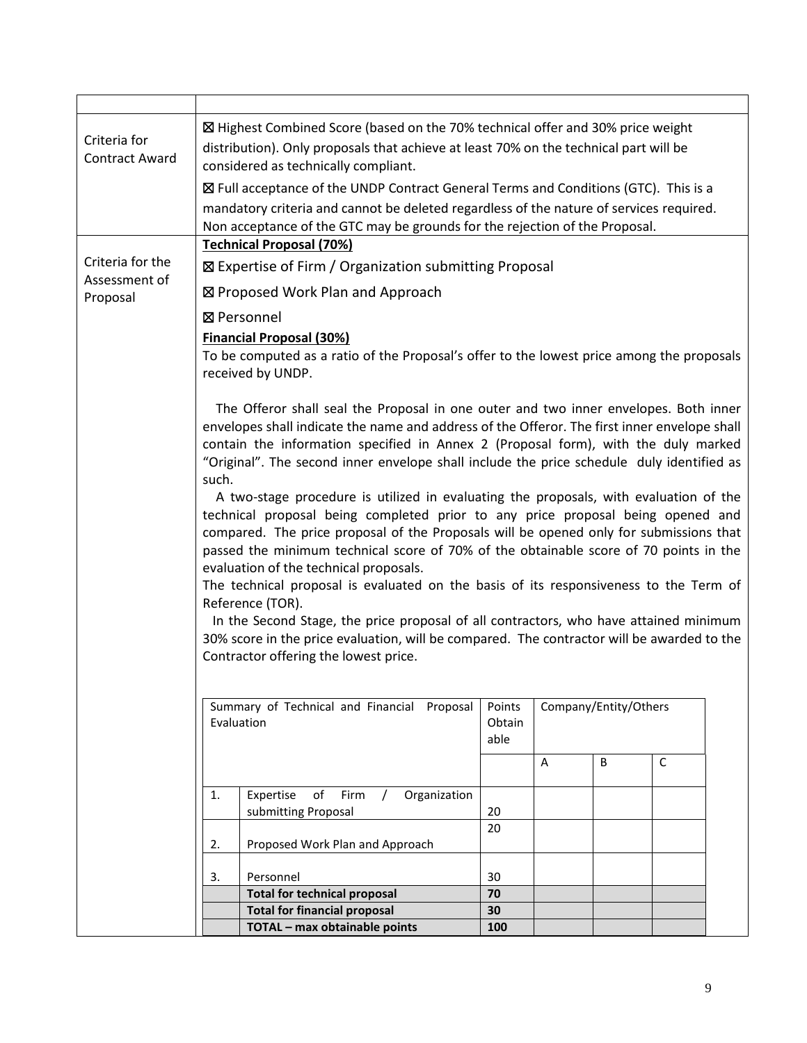|                                       |                                                                                                                                                     | ⊠ Highest Combined Score (based on the 70% technical offer and 30% price weight              |                                                                                           |                       |   |   |  |  |  |
|---------------------------------------|-----------------------------------------------------------------------------------------------------------------------------------------------------|----------------------------------------------------------------------------------------------|-------------------------------------------------------------------------------------------|-----------------------|---|---|--|--|--|
| Criteria for<br><b>Contract Award</b> | distribution). Only proposals that achieve at least 70% on the technical part will be                                                               |                                                                                              |                                                                                           |                       |   |   |  |  |  |
|                                       | considered as technically compliant.                                                                                                                |                                                                                              |                                                                                           |                       |   |   |  |  |  |
|                                       |                                                                                                                                                     | ⊠ Full acceptance of the UNDP Contract General Terms and Conditions (GTC). This is a         |                                                                                           |                       |   |   |  |  |  |
|                                       |                                                                                                                                                     | mandatory criteria and cannot be deleted regardless of the nature of services required.      |                                                                                           |                       |   |   |  |  |  |
|                                       |                                                                                                                                                     | Non acceptance of the GTC may be grounds for the rejection of the Proposal.                  |                                                                                           |                       |   |   |  |  |  |
| Criteria for the                      |                                                                                                                                                     | <b>Technical Proposal (70%)</b>                                                              |                                                                                           |                       |   |   |  |  |  |
| Assessment of                         | ⊠ Expertise of Firm / Organization submitting Proposal                                                                                              |                                                                                              |                                                                                           |                       |   |   |  |  |  |
| Proposal                              |                                                                                                                                                     | ⊠ Proposed Work Plan and Approach                                                            |                                                                                           |                       |   |   |  |  |  |
|                                       |                                                                                                                                                     | ⊠ Personnel                                                                                  |                                                                                           |                       |   |   |  |  |  |
|                                       |                                                                                                                                                     | <b>Financial Proposal (30%)</b>                                                              |                                                                                           |                       |   |   |  |  |  |
|                                       |                                                                                                                                                     | To be computed as a ratio of the Proposal's offer to the lowest price among the proposals    |                                                                                           |                       |   |   |  |  |  |
|                                       |                                                                                                                                                     | received by UNDP.                                                                            |                                                                                           |                       |   |   |  |  |  |
|                                       |                                                                                                                                                     | The Offeror shall seal the Proposal in one outer and two inner envelopes. Both inner         |                                                                                           |                       |   |   |  |  |  |
|                                       |                                                                                                                                                     | envelopes shall indicate the name and address of the Offeror. The first inner envelope shall |                                                                                           |                       |   |   |  |  |  |
|                                       |                                                                                                                                                     | contain the information specified in Annex 2 (Proposal form), with the duly marked           |                                                                                           |                       |   |   |  |  |  |
|                                       |                                                                                                                                                     |                                                                                              | "Original". The second inner envelope shall include the price schedule duly identified as |                       |   |   |  |  |  |
|                                       | such.<br>A two-stage procedure is utilized in evaluating the proposals, with evaluation of the                                                      |                                                                                              |                                                                                           |                       |   |   |  |  |  |
|                                       |                                                                                                                                                     | technical proposal being completed prior to any price proposal being opened and              |                                                                                           |                       |   |   |  |  |  |
|                                       |                                                                                                                                                     | compared. The price proposal of the Proposals will be opened only for submissions that       |                                                                                           |                       |   |   |  |  |  |
|                                       |                                                                                                                                                     | passed the minimum technical score of 70% of the obtainable score of 70 points in the        |                                                                                           |                       |   |   |  |  |  |
|                                       | evaluation of the technical proposals.<br>The technical proposal is evaluated on the basis of its responsiveness to the Term of<br>Reference (TOR). |                                                                                              |                                                                                           |                       |   |   |  |  |  |
|                                       |                                                                                                                                                     |                                                                                              |                                                                                           |                       |   |   |  |  |  |
|                                       |                                                                                                                                                     | In the Second Stage, the price proposal of all contractors, who have attained minimum        |                                                                                           |                       |   |   |  |  |  |
|                                       | 30% score in the price evaluation, will be compared. The contractor will be awarded to the                                                          |                                                                                              |                                                                                           |                       |   |   |  |  |  |
|                                       |                                                                                                                                                     | Contractor offering the lowest price.                                                        |                                                                                           |                       |   |   |  |  |  |
|                                       |                                                                                                                                                     |                                                                                              |                                                                                           |                       |   |   |  |  |  |
|                                       |                                                                                                                                                     | Summary of Technical and Financial Proposal                                                  | Points                                                                                    | Company/Entity/Others |   |   |  |  |  |
|                                       | Evaluation                                                                                                                                          |                                                                                              | Obtain                                                                                    |                       |   |   |  |  |  |
|                                       |                                                                                                                                                     |                                                                                              | able                                                                                      |                       |   |   |  |  |  |
|                                       |                                                                                                                                                     |                                                                                              |                                                                                           | Α                     | B | C |  |  |  |
|                                       | 1.                                                                                                                                                  | Expertise<br>of<br>Firm<br>Organization<br>$\prime$                                          |                                                                                           |                       |   |   |  |  |  |
|                                       |                                                                                                                                                     | submitting Proposal                                                                          | 20                                                                                        |                       |   |   |  |  |  |
|                                       |                                                                                                                                                     |                                                                                              | 20                                                                                        |                       |   |   |  |  |  |
|                                       | 2.                                                                                                                                                  | Proposed Work Plan and Approach                                                              |                                                                                           |                       |   |   |  |  |  |
|                                       | 3.                                                                                                                                                  | Personnel                                                                                    | 30                                                                                        |                       |   |   |  |  |  |
|                                       |                                                                                                                                                     | <b>Total for technical proposal</b>                                                          | 70                                                                                        |                       |   |   |  |  |  |
|                                       |                                                                                                                                                     | <b>Total for financial proposal</b><br>TOTAL - max obtainable points                         | 30<br>100                                                                                 |                       |   |   |  |  |  |
|                                       |                                                                                                                                                     |                                                                                              |                                                                                           |                       |   |   |  |  |  |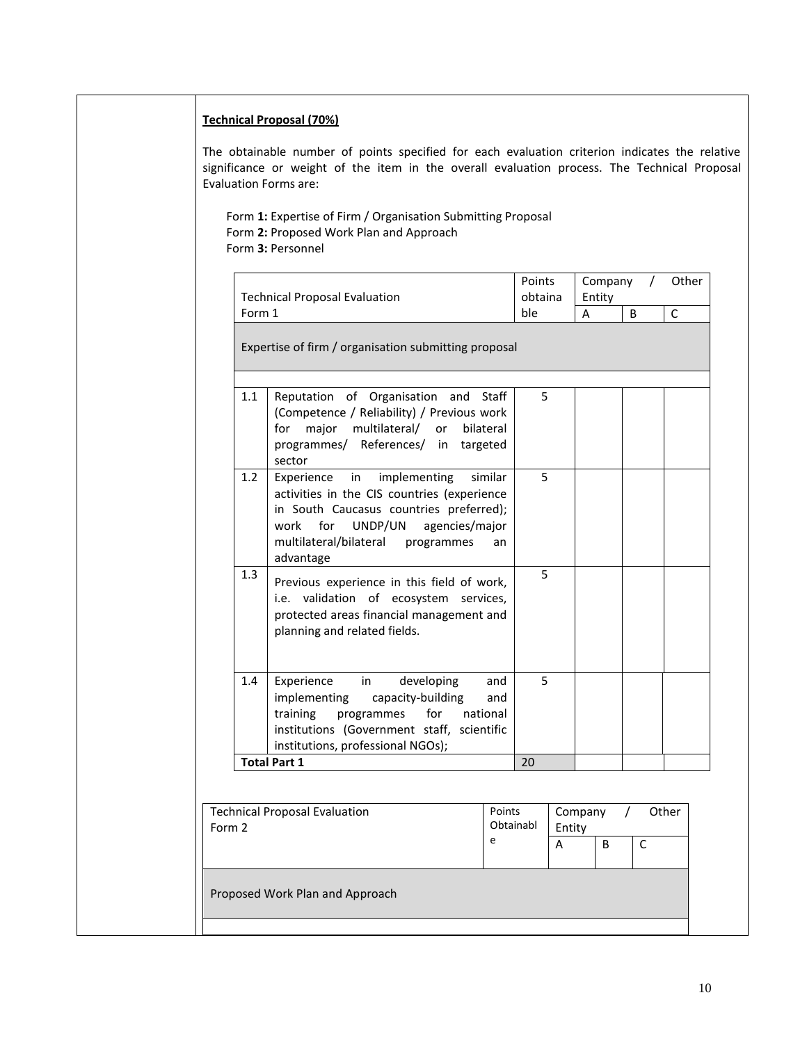### **Technical Proposal (70%)**

The obtainable number of points specified for each evaluation criterion indicates the relative significance or weight of the item in the overall evaluation process. The Technical Proposal Evaluation Forms are:

Form **1:** Expertise of Firm / Organisation Submitting Proposal Form **2:** Proposed Work Plan and Approach Form **3:** Personnel

| Expertise of firm / organisation submitting proposal                                                                                      |                                                             |                                                                                                                                                                                                                                                                                                                                                                                                                     |                     |             |        |         |          |                       |
|-------------------------------------------------------------------------------------------------------------------------------------------|-------------------------------------------------------------|---------------------------------------------------------------------------------------------------------------------------------------------------------------------------------------------------------------------------------------------------------------------------------------------------------------------------------------------------------------------------------------------------------------------|---------------------|-------------|--------|---------|----------|-----------------------|
|                                                                                                                                           |                                                             |                                                                                                                                                                                                                                                                                                                                                                                                                     |                     |             |        |         |          |                       |
|                                                                                                                                           |                                                             |                                                                                                                                                                                                                                                                                                                                                                                                                     |                     |             |        |         |          |                       |
| Reputation of Organisation and<br>multilateral/ or<br>for<br>major<br>sector                                                              | Staff                                                       | 5                                                                                                                                                                                                                                                                                                                                                                                                                   |                     |             |        |         |          |                       |
| implementing<br>Experience<br>in<br>for<br>UNDP/UN<br>work<br>multilateral/bilateral<br>programmes<br>advantage                           | an                                                          |                                                                                                                                                                                                                                                                                                                                                                                                                     |                     |             |        |         |          |                       |
| planning and related fields.                                                                                                              |                                                             |                                                                                                                                                                                                                                                                                                                                                                                                                     |                     |             |        |         |          |                       |
| developing<br>Experience<br>in<br>capacity-building<br>implementing<br>training<br>programmes<br>for<br>institutions, professional NGOs); | and<br>and                                                  |                                                                                                                                                                                                                                                                                                                                                                                                                     |                     |             |        |         |          |                       |
|                                                                                                                                           |                                                             | 20                                                                                                                                                                                                                                                                                                                                                                                                                  |                     |             |        |         |          |                       |
|                                                                                                                                           |                                                             |                                                                                                                                                                                                                                                                                                                                                                                                                     |                     |             |        |         |          |                       |
|                                                                                                                                           |                                                             |                                                                                                                                                                                                                                                                                                                                                                                                                     |                     |             |        |         |          |                       |
|                                                                                                                                           | e                                                           |                                                                                                                                                                                                                                                                                                                                                                                                                     | A                   |             | B      |         |          |                       |
|                                                                                                                                           | <b>Total Part 1</b><br><b>Technical Proposal Evaluation</b> | (Competence / Reliability) / Previous work<br>bilateral<br>programmes/ References/ in targeted<br>similar<br>activities in the CIS countries (experience<br>in South Caucasus countries preferred);<br>agencies/major<br>Previous experience in this field of work,<br>i.e. validation of ecosystem services,<br>protected areas financial management and<br>national<br>institutions (Government staff, scientific | Points<br>Obtainabl | 5<br>5<br>5 | Entity | Company | $\prime$ | Other<br>$\mathsf{C}$ |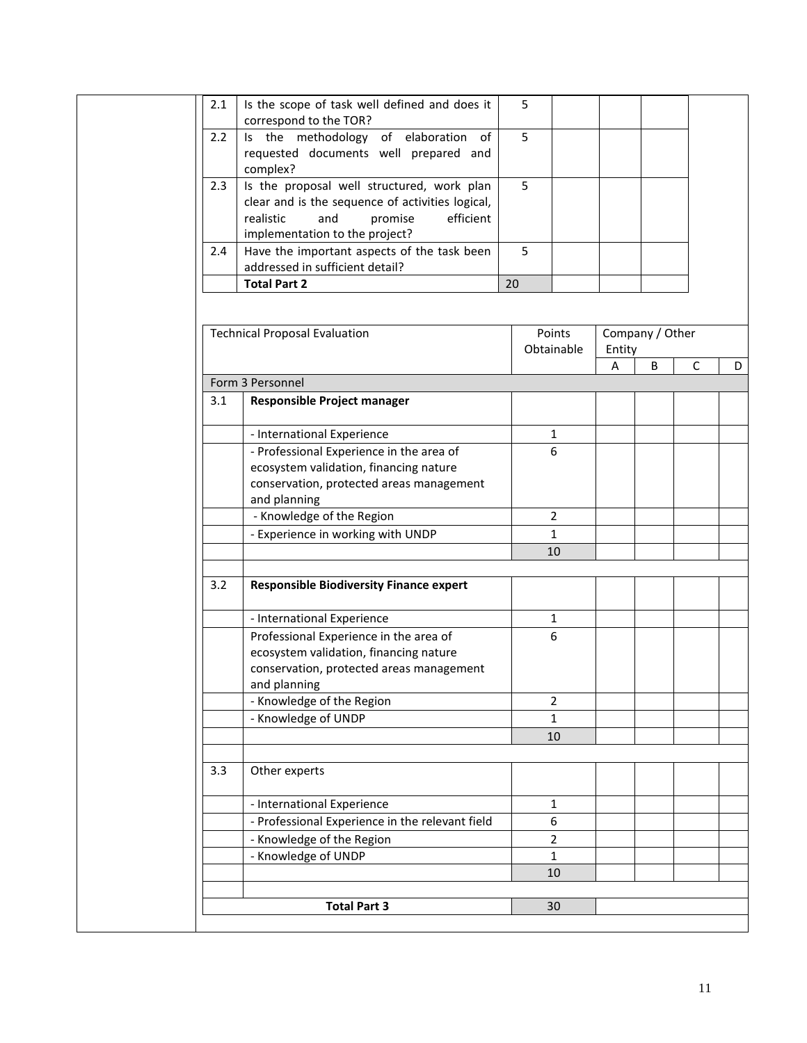| 2.1 | Is the scope of task well defined and does it                  | 5  |                |        |                 |   |   |
|-----|----------------------------------------------------------------|----|----------------|--------|-----------------|---|---|
| 2.2 | correspond to the TOR?<br>Is the methodology of elaboration of | 5  |                |        |                 |   |   |
|     | requested documents well prepared and                          |    |                |        |                 |   |   |
|     | complex?                                                       |    |                |        |                 |   |   |
| 2.3 | Is the proposal well structured, work plan                     | 5  |                |        |                 |   |   |
|     | clear and is the sequence of activities logical,               |    |                |        |                 |   |   |
|     | and<br>efficient<br>realistic<br>promise                       |    |                |        |                 |   |   |
|     | implementation to the project?                                 |    |                |        |                 |   |   |
| 2.4 | Have the important aspects of the task been                    | 5  |                |        |                 |   |   |
|     | addressed in sufficient detail?                                |    |                |        |                 |   |   |
|     | <b>Total Part 2</b>                                            | 20 |                |        |                 |   |   |
|     |                                                                |    |                |        |                 |   |   |
|     | <b>Technical Proposal Evaluation</b>                           |    | Points         |        | Company / Other |   |   |
|     |                                                                |    | Obtainable     | Entity |                 |   |   |
|     |                                                                |    |                | А      | B               | C | D |
|     | Form 3 Personnel                                               |    |                |        |                 |   |   |
| 3.1 | Responsible Project manager                                    |    |                |        |                 |   |   |
|     | - International Experience                                     |    | $\mathbf{1}$   |        |                 |   |   |
|     | - Professional Experience in the area of                       |    | 6              |        |                 |   |   |
|     | ecosystem validation, financing nature                         |    |                |        |                 |   |   |
|     | conservation, protected areas management                       |    |                |        |                 |   |   |
|     | and planning                                                   |    |                |        |                 |   |   |
|     | - Knowledge of the Region                                      |    | $\overline{2}$ |        |                 |   |   |
|     | - Experience in working with UNDP                              |    | $\mathbf{1}$   |        |                 |   |   |
|     |                                                                |    | 10             |        |                 |   |   |
| 3.2 | <b>Responsible Biodiversity Finance expert</b>                 |    |                |        |                 |   |   |
|     |                                                                |    |                |        |                 |   |   |
|     | - International Experience                                     |    | $\mathbf{1}$   |        |                 |   |   |
|     | Professional Experience in the area of                         |    | 6              |        |                 |   |   |
|     | ecosystem validation, financing nature                         |    |                |        |                 |   |   |
|     | conservation, protected areas management                       |    |                |        |                 |   |   |
|     | and planning                                                   |    |                |        |                 |   |   |
|     | - Knowledge of the Region                                      |    | $\overline{2}$ |        |                 |   |   |
|     | - Knowledge of UNDP                                            |    | $\mathbf{1}$   |        |                 |   |   |
|     |                                                                |    | 10             |        |                 |   |   |
|     |                                                                |    |                |        |                 |   |   |
| 3.3 | Other experts                                                  |    |                |        |                 |   |   |
|     | - International Experience                                     |    | $\mathbf{1}$   |        |                 |   |   |
|     | - Professional Experience in the relevant field                |    | 6              |        |                 |   |   |
|     | - Knowledge of the Region                                      |    | $\overline{2}$ |        |                 |   |   |
|     | - Knowledge of UNDP                                            |    | $\mathbf{1}$   |        |                 |   |   |
|     |                                                                |    | 10             |        |                 |   |   |
|     | <b>Total Part 3</b>                                            |    |                |        |                 |   |   |
|     |                                                                |    | 30             |        |                 |   |   |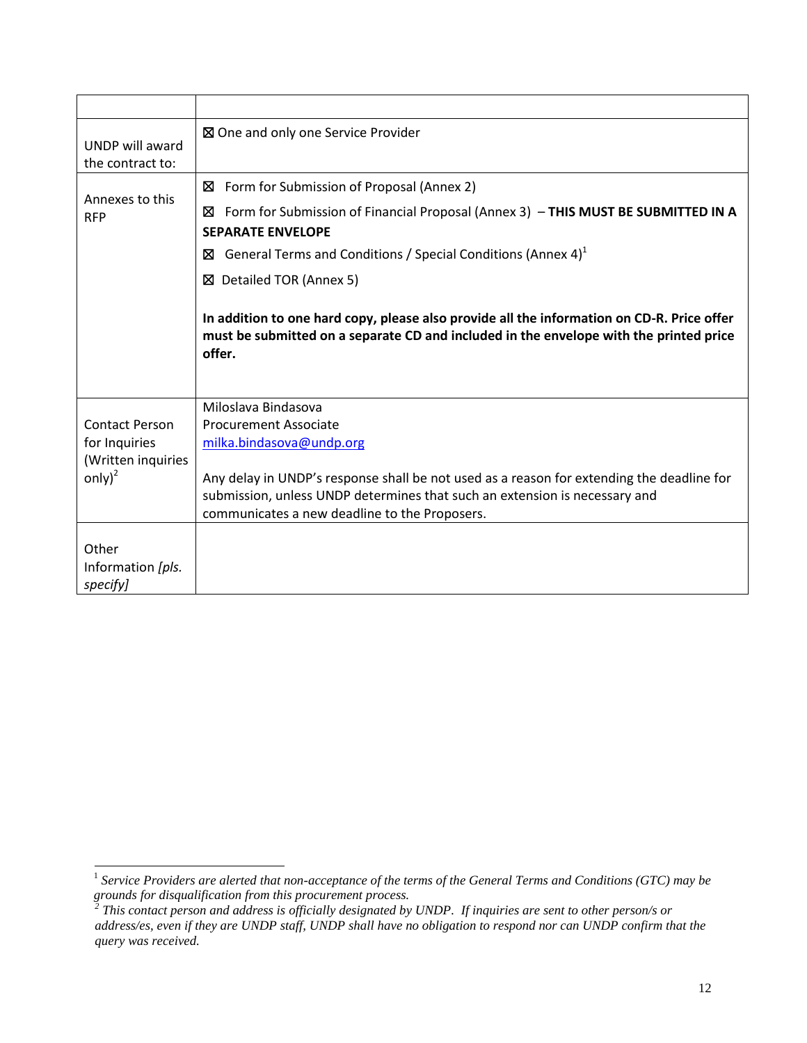| UNDP will award<br>the contract to:    | ⊠ One and only one Service Provider                                                                                                                                                                                      |
|----------------------------------------|--------------------------------------------------------------------------------------------------------------------------------------------------------------------------------------------------------------------------|
| Annexes to this                        | Form for Submission of Proposal (Annex 2)<br>⊠<br>⊠ Form for Submission of Financial Proposal (Annex 3) - THIS MUST BE SUBMITTED IN A                                                                                    |
| <b>RFP</b>                             | <b>SEPARATE ENVELOPE</b>                                                                                                                                                                                                 |
|                                        | General Terms and Conditions / Special Conditions (Annex $4$ ) <sup>1</sup><br>⊠                                                                                                                                         |
|                                        | ⊠ Detailed TOR (Annex 5)                                                                                                                                                                                                 |
|                                        | In addition to one hard copy, please also provide all the information on CD-R. Price offer<br>must be submitted on a separate CD and included in the envelope with the printed price<br>offer.                           |
|                                        | Miloslava Bindasova                                                                                                                                                                                                      |
| <b>Contact Person</b><br>for Inquiries | Procurement Associate<br>milka.bindasova@undp.org                                                                                                                                                                        |
| (Written inquiries<br>only $)^2$       | Any delay in UNDP's response shall be not used as a reason for extending the deadline for<br>submission, unless UNDP determines that such an extension is necessary and<br>communicates a new deadline to the Proposers. |
| Other<br>Information [pls.<br>specify] |                                                                                                                                                                                                                          |

 1 *Service Providers are alerted that non-acceptance of the terms of the General Terms and Conditions (GTC) may be grounds for disqualification from this procurement process. 2 This contact person and address is officially designated by UNDP. If inquiries are sent to other person/s or* 

*address/es, even if they are UNDP staff, UNDP shall have no obligation to respond nor can UNDP confirm that the query was received.*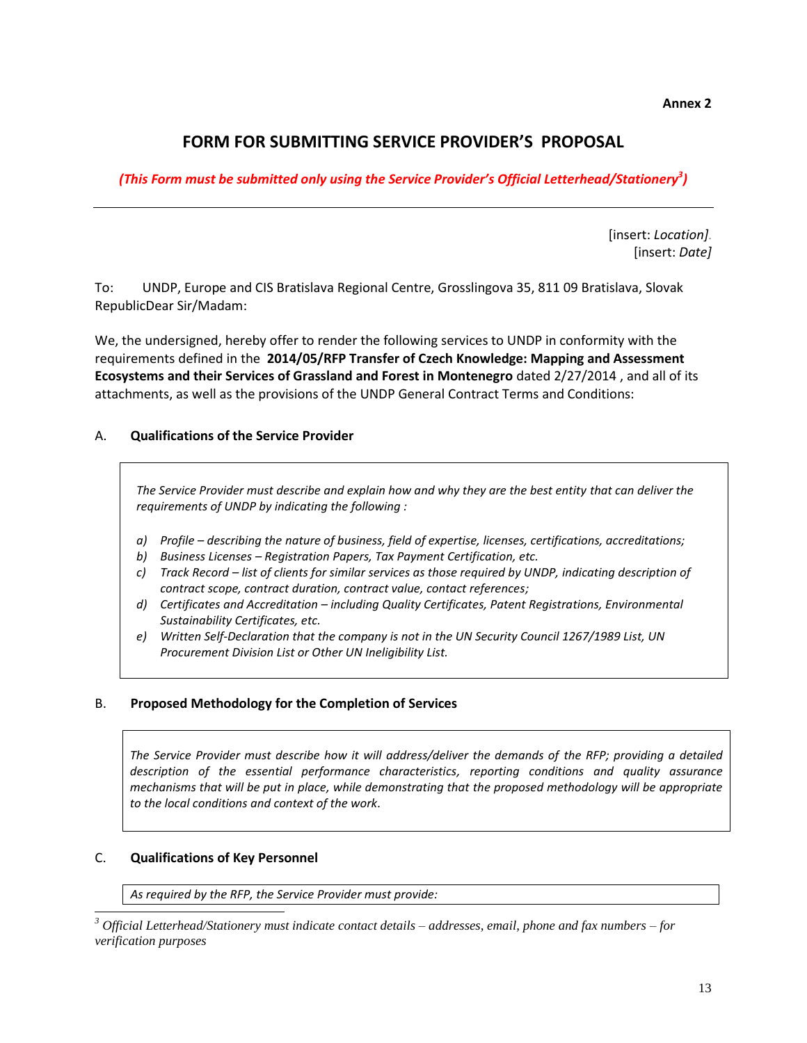**Annex 2**

# **FORM FOR SUBMITTING SERVICE PROVIDER'S PROPOSAL**

*(This Form must be submitted only using the Service Provider's Official Letterhead/Stationery<sup>3</sup> )*

[insert: *Location]*. [insert: *Date]*

To: UNDP, Europe and CIS Bratislava Regional Centre, Grosslingova 35, 811 09 Bratislava, Slovak RepublicDear Sir/Madam:

We, the undersigned, hereby offer to render the following services to UNDP in conformity with the requirements defined in the **2014/05/RFP Transfer of Czech Knowledge: Mapping and Assessment Ecosystems and their Services of Grassland and Forest in Montenegro** dated 2/27/2014 , and all of its attachments, as well as the provisions of the UNDP General Contract Terms and Conditions:

### A. **Qualifications of the Service Provider**

*The Service Provider must describe and explain how and why they are the best entity that can deliver the requirements of UNDP by indicating the following :*

- *a) Profile – describing the nature of business, field of expertise, licenses, certifications, accreditations;*
- *b) Business Licenses – Registration Papers, Tax Payment Certification, etc.*
- *c) Track Record – list of clients for similar services as those required by UNDP, indicating description of contract scope, contract duration, contract value, contact references;*
- *d) Certificates and Accreditation – including Quality Certificates, Patent Registrations, Environmental Sustainability Certificates, etc.*
- *e) Written Self-Declaration that the company is not in the UN Security Council 1267/1989 List, UN Procurement Division List or Other UN Ineligibility List.*

## B. **Proposed Methodology for the Completion of Services**

*The Service Provider must describe how it will address/deliver the demands of the RFP; providing a detailed description of the essential performance characteristics, reporting conditions and quality assurance mechanisms that will be put in place, while demonstrating that the proposed methodology will be appropriate to the local conditions and context of the work.*

### C. **Qualifications of Key Personnel**

*As required by the RFP, the Service Provider must provide:*

 $\overline{a}$ *<sup>3</sup> Official Letterhead/Stationery must indicate contact details – addresses, email, phone and fax numbers – for verification purposes*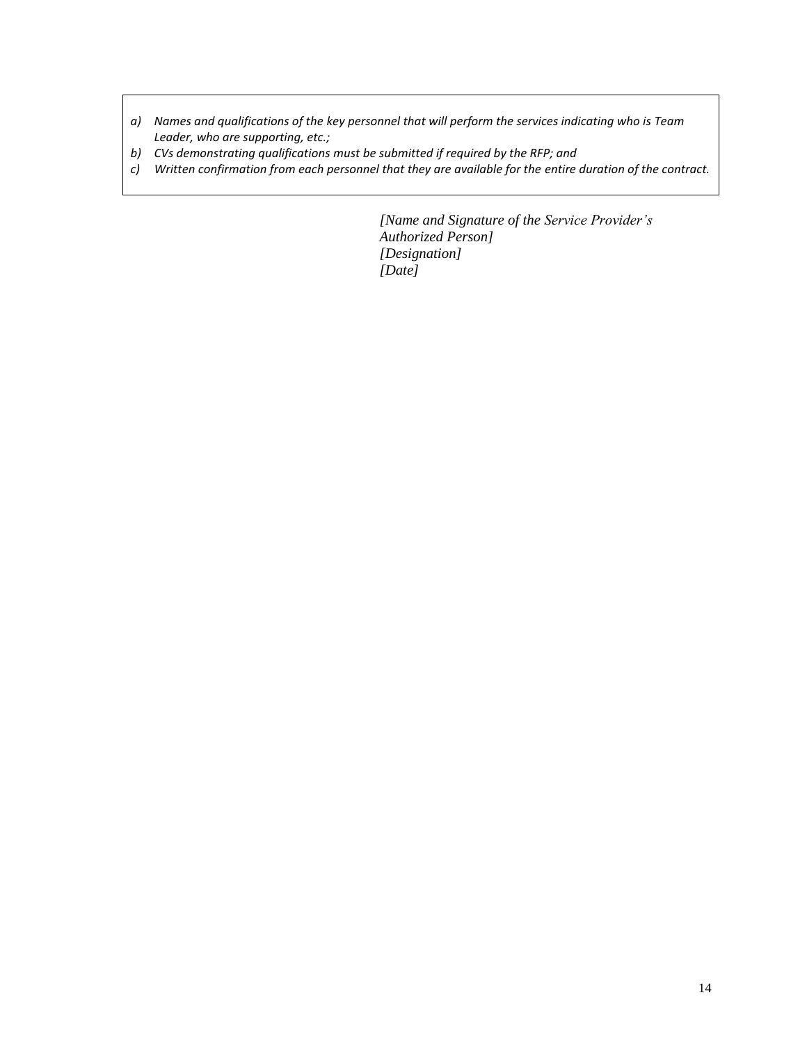- *a) Names and qualifications of the key personnel that will perform the services indicating who is Team Leader, who are supporting, etc.;*
- *b) CVs demonstrating qualifications must be submitted if required by the RFP; and*
- *c) Written confirmation from each personnel that they are available for the entire duration of the contract.*

*[Name and Signature of the Service Provider's Authorized Person] [Designation] [Date]*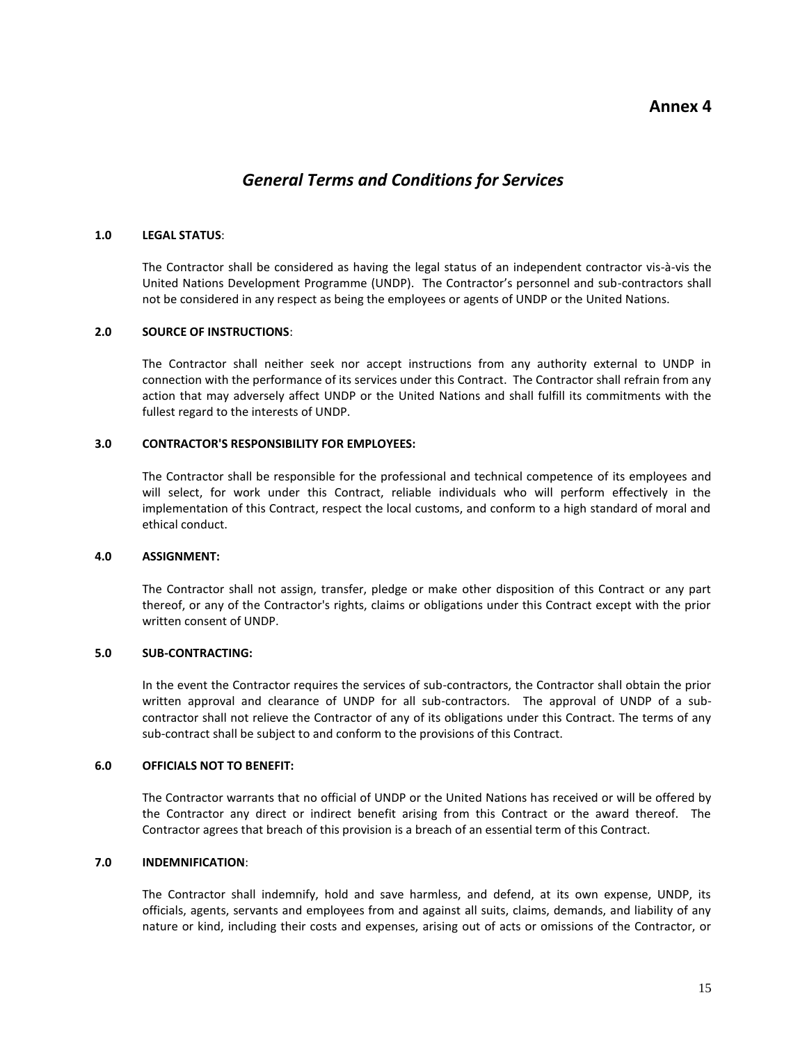# **Annex 4**

# *General Terms and Conditions for Services*

#### **1.0 LEGAL STATUS**:

The Contractor shall be considered as having the legal status of an independent contractor vis-à-vis the United Nations Development Programme (UNDP). The Contractor's personnel and sub-contractors shall not be considered in any respect as being the employees or agents of UNDP or the United Nations.

#### **2.0 SOURCE OF INSTRUCTIONS**:

The Contractor shall neither seek nor accept instructions from any authority external to UNDP in connection with the performance of its services under this Contract. The Contractor shall refrain from any action that may adversely affect UNDP or the United Nations and shall fulfill its commitments with the fullest regard to the interests of UNDP.

#### **3.0 CONTRACTOR'S RESPONSIBILITY FOR EMPLOYEES:**

The Contractor shall be responsible for the professional and technical competence of its employees and will select, for work under this Contract, reliable individuals who will perform effectively in the implementation of this Contract, respect the local customs, and conform to a high standard of moral and ethical conduct.

#### **4.0 ASSIGNMENT:**

The Contractor shall not assign, transfer, pledge or make other disposition of this Contract or any part thereof, or any of the Contractor's rights, claims or obligations under this Contract except with the prior written consent of UNDP.

#### **5.0 SUB-CONTRACTING:**

In the event the Contractor requires the services of sub-contractors, the Contractor shall obtain the prior written approval and clearance of UNDP for all sub-contractors. The approval of UNDP of a subcontractor shall not relieve the Contractor of any of its obligations under this Contract. The terms of any sub-contract shall be subject to and conform to the provisions of this Contract.

#### **6.0 OFFICIALS NOT TO BENEFIT:**

The Contractor warrants that no official of UNDP or the United Nations has received or will be offered by the Contractor any direct or indirect benefit arising from this Contract or the award thereof. The Contractor agrees that breach of this provision is a breach of an essential term of this Contract.

#### **7.0 INDEMNIFICATION**:

The Contractor shall indemnify, hold and save harmless, and defend, at its own expense, UNDP, its officials, agents, servants and employees from and against all suits, claims, demands, and liability of any nature or kind, including their costs and expenses, arising out of acts or omissions of the Contractor, or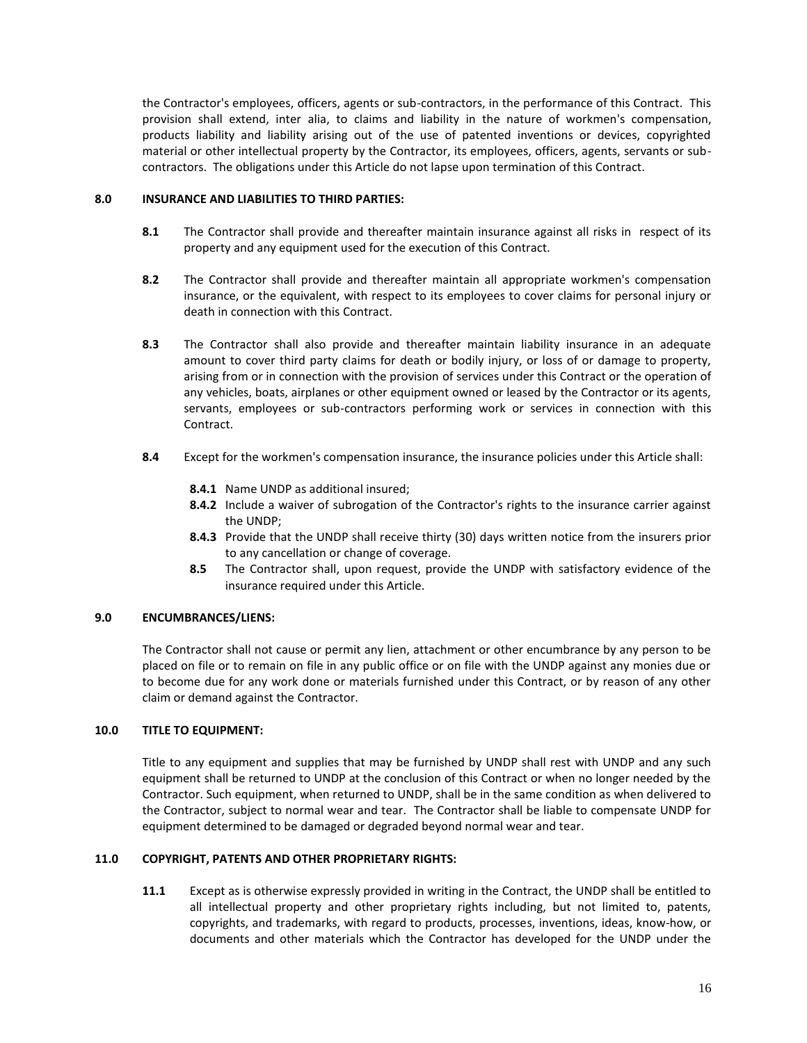the Contractor's employees, officers, agents or sub-contractors, in the performance of this Contract. This provision shall extend, inter alia, to claims and liability in the nature of workmen's compensation, products liability and liability arising out of the use of patented inventions or devices, copyrighted material or other intellectual property by the Contractor, its employees, officers, agents, servants or subcontractors. The obligations under this Article do not lapse upon termination of this Contract.

#### **8.0 INSURANCE AND LIABILITIES TO THIRD PARTIES:**

- **8.1** The Contractor shall provide and thereafter maintain insurance against all risks in respect of its property and any equipment used for the execution of this Contract.
- **8.2** The Contractor shall provide and thereafter maintain all appropriate workmen's compensation insurance, or the equivalent, with respect to its employees to cover claims for personal injury or death in connection with this Contract.
- **8.3** The Contractor shall also provide and thereafter maintain liability insurance in an adequate amount to cover third party claims for death or bodily injury, or loss of or damage to property, arising from or in connection with the provision of services under this Contract or the operation of any vehicles, boats, airplanes or other equipment owned or leased by the Contractor or its agents, servants, employees or sub-contractors performing work or services in connection with this Contract.
- **8.4** Except for the workmen's compensation insurance, the insurance policies under this Article shall:
	- **8.4.1** Name UNDP as additional insured;
	- **8.4.2** Include a waiver of subrogation of the Contractor's rights to the insurance carrier against the UNDP;
	- **8.4.3** Provide that the UNDP shall receive thirty (30) days written notice from the insurers prior to any cancellation or change of coverage.
	- **8.5** The Contractor shall, upon request, provide the UNDP with satisfactory evidence of the insurance required under this Article.

#### **9.0 ENCUMBRANCES/LIENS:**

The Contractor shall not cause or permit any lien, attachment or other encumbrance by any person to be placed on file or to remain on file in any public office or on file with the UNDP against any monies due or to become due for any work done or materials furnished under this Contract, or by reason of any other claim or demand against the Contractor.

#### **10.0 TITLE TO EQUIPMENT:**

Title to any equipment and supplies that may be furnished by UNDP shall rest with UNDP and any such equipment shall be returned to UNDP at the conclusion of this Contract or when no longer needed by the Contractor. Such equipment, when returned to UNDP, shall be in the same condition as when delivered to the Contractor, subject to normal wear and tear. The Contractor shall be liable to compensate UNDP for equipment determined to be damaged or degraded beyond normal wear and tear.

#### **11.0 COPYRIGHT, PATENTS AND OTHER PROPRIETARY RIGHTS:**

**11.1** Except as is otherwise expressly provided in writing in the Contract, the UNDP shall be entitled to all intellectual property and other proprietary rights including, but not limited to, patents, copyrights, and trademarks, with regard to products, processes, inventions, ideas, know-how, or documents and other materials which the Contractor has developed for the UNDP under the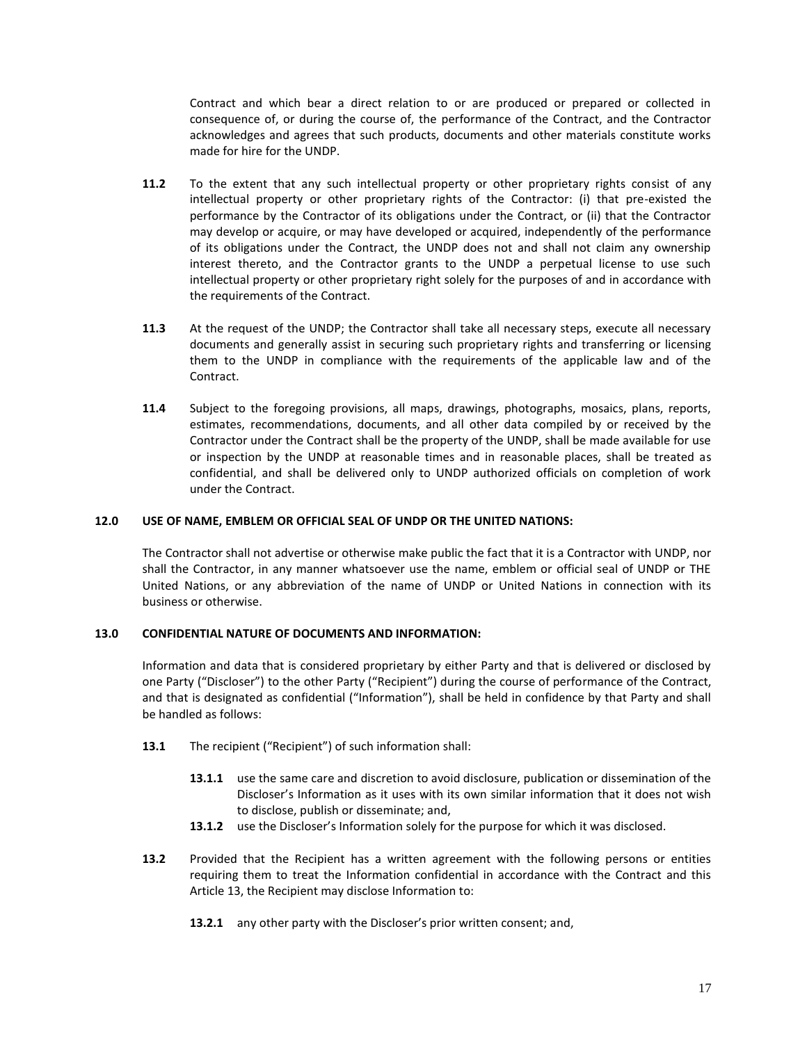Contract and which bear a direct relation to or are produced or prepared or collected in consequence of, or during the course of, the performance of the Contract, and the Contractor acknowledges and agrees that such products, documents and other materials constitute works made for hire for the UNDP.

- **11.2** To the extent that any such intellectual property or other proprietary rights consist of any intellectual property or other proprietary rights of the Contractor: (i) that pre-existed the performance by the Contractor of its obligations under the Contract, or (ii) that the Contractor may develop or acquire, or may have developed or acquired, independently of the performance of its obligations under the Contract, the UNDP does not and shall not claim any ownership interest thereto, and the Contractor grants to the UNDP a perpetual license to use such intellectual property or other proprietary right solely for the purposes of and in accordance with the requirements of the Contract.
- **11.3** At the request of the UNDP; the Contractor shall take all necessary steps, execute all necessary documents and generally assist in securing such proprietary rights and transferring or licensing them to the UNDP in compliance with the requirements of the applicable law and of the Contract.
- **11.4** Subject to the foregoing provisions, all maps, drawings, photographs, mosaics, plans, reports, estimates, recommendations, documents, and all other data compiled by or received by the Contractor under the Contract shall be the property of the UNDP, shall be made available for use or inspection by the UNDP at reasonable times and in reasonable places, shall be treated as confidential, and shall be delivered only to UNDP authorized officials on completion of work under the Contract.

#### **12.0 USE OF NAME, EMBLEM OR OFFICIAL SEAL OF UNDP OR THE UNITED NATIONS:**

The Contractor shall not advertise or otherwise make public the fact that it is a Contractor with UNDP, nor shall the Contractor, in any manner whatsoever use the name, emblem or official seal of UNDP or THE United Nations, or any abbreviation of the name of UNDP or United Nations in connection with its business or otherwise.

#### **13.0 CONFIDENTIAL NATURE OF DOCUMENTS AND INFORMATION:**

Information and data that is considered proprietary by either Party and that is delivered or disclosed by one Party ("Discloser") to the other Party ("Recipient") during the course of performance of the Contract, and that is designated as confidential ("Information"), shall be held in confidence by that Party and shall be handled as follows:

- **13.1** The recipient ("Recipient") of such information shall:
	- **13.1.1** use the same care and discretion to avoid disclosure, publication or dissemination of the Discloser's Information as it uses with its own similar information that it does not wish to disclose, publish or disseminate; and,
	- 13.1.2 use the Discloser's Information solely for the purpose for which it was disclosed.
- **13.2** Provided that the Recipient has a written agreement with the following persons or entities requiring them to treat the Information confidential in accordance with the Contract and this Article 13, the Recipient may disclose Information to:
	- **13.2.1** any other party with the Discloser's prior written consent; and,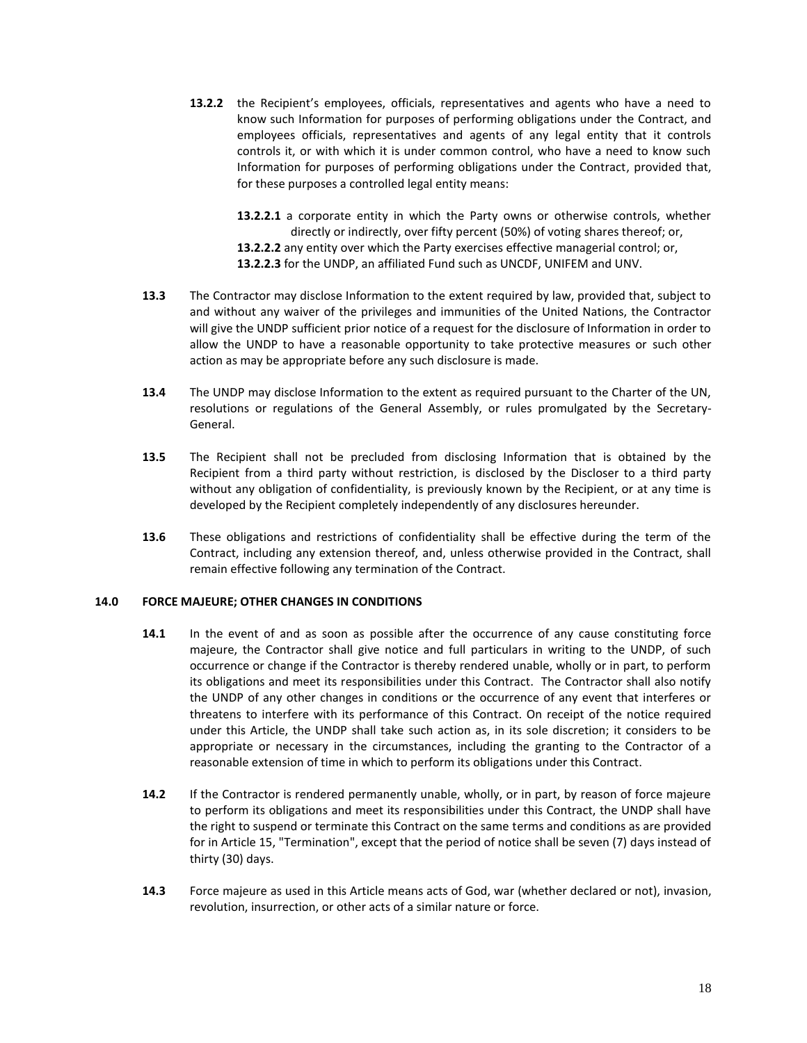**13.2.2** the Recipient's employees, officials, representatives and agents who have a need to know such Information for purposes of performing obligations under the Contract, and employees officials, representatives and agents of any legal entity that it controls controls it, or with which it is under common control, who have a need to know such Information for purposes of performing obligations under the Contract, provided that, for these purposes a controlled legal entity means:

**13.2.2.1** a corporate entity in which the Party owns or otherwise controls, whether directly or indirectly, over fifty percent (50%) of voting shares thereof; or, **13.2.2.2** any entity over which the Party exercises effective managerial control; or, **13.2.2.3** for the UNDP, an affiliated Fund such as UNCDF, UNIFEM and UNV.

- **13.3** The Contractor may disclose Information to the extent required by law, provided that, subject to and without any waiver of the privileges and immunities of the United Nations, the Contractor will give the UNDP sufficient prior notice of a request for the disclosure of Information in order to allow the UNDP to have a reasonable opportunity to take protective measures or such other action as may be appropriate before any such disclosure is made.
- **13.4** The UNDP may disclose Information to the extent as required pursuant to the Charter of the UN, resolutions or regulations of the General Assembly, or rules promulgated by the Secretary-General.
- **13.5** The Recipient shall not be precluded from disclosing Information that is obtained by the Recipient from a third party without restriction, is disclosed by the Discloser to a third party without any obligation of confidentiality, is previously known by the Recipient, or at any time is developed by the Recipient completely independently of any disclosures hereunder.
- **13.6** These obligations and restrictions of confidentiality shall be effective during the term of the Contract, including any extension thereof, and, unless otherwise provided in the Contract, shall remain effective following any termination of the Contract.

#### **14.0 FORCE MAJEURE; OTHER CHANGES IN CONDITIONS**

- **14.1** In the event of and as soon as possible after the occurrence of any cause constituting force majeure, the Contractor shall give notice and full particulars in writing to the UNDP, of such occurrence or change if the Contractor is thereby rendered unable, wholly or in part, to perform its obligations and meet its responsibilities under this Contract. The Contractor shall also notify the UNDP of any other changes in conditions or the occurrence of any event that interferes or threatens to interfere with its performance of this Contract. On receipt of the notice required under this Article, the UNDP shall take such action as, in its sole discretion; it considers to be appropriate or necessary in the circumstances, including the granting to the Contractor of a reasonable extension of time in which to perform its obligations under this Contract.
- **14.2** If the Contractor is rendered permanently unable, wholly, or in part, by reason of force majeure to perform its obligations and meet its responsibilities under this Contract, the UNDP shall have the right to suspend or terminate this Contract on the same terms and conditions as are provided for in Article 15, "Termination", except that the period of notice shall be seven (7) days instead of thirty (30) days.
- **14.3** Force majeure as used in this Article means acts of God, war (whether declared or not), invasion, revolution, insurrection, or other acts of a similar nature or force.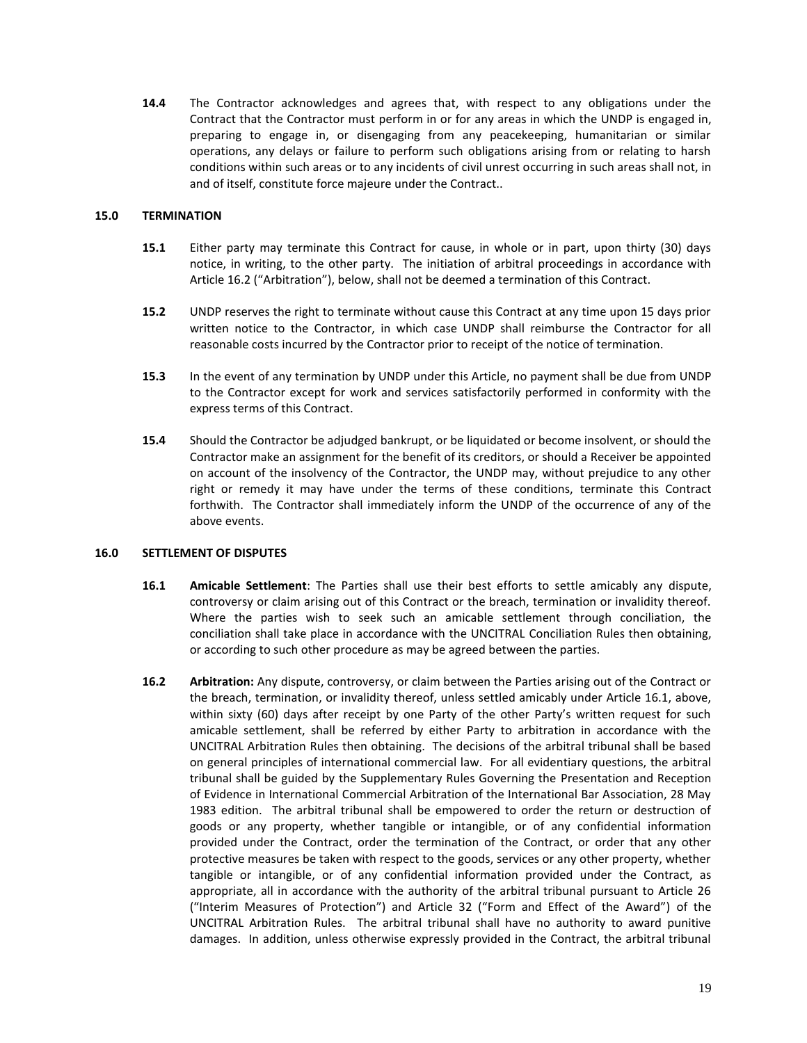**14.4** The Contractor acknowledges and agrees that, with respect to any obligations under the Contract that the Contractor must perform in or for any areas in which the UNDP is engaged in, preparing to engage in, or disengaging from any peacekeeping, humanitarian or similar operations, any delays or failure to perform such obligations arising from or relating to harsh conditions within such areas or to any incidents of civil unrest occurring in such areas shall not, in and of itself, constitute force majeure under the Contract..

#### **15.0 TERMINATION**

- **15.1** Either party may terminate this Contract for cause, in whole or in part, upon thirty (30) days notice, in writing, to the other party. The initiation of arbitral proceedings in accordance with Article 16.2 ("Arbitration"), below, shall not be deemed a termination of this Contract.
- **15.2** UNDP reserves the right to terminate without cause this Contract at any time upon 15 days prior written notice to the Contractor, in which case UNDP shall reimburse the Contractor for all reasonable costs incurred by the Contractor prior to receipt of the notice of termination.
- **15.3** In the event of any termination by UNDP under this Article, no payment shall be due from UNDP to the Contractor except for work and services satisfactorily performed in conformity with the express terms of this Contract.
- **15.4** Should the Contractor be adjudged bankrupt, or be liquidated or become insolvent, or should the Contractor make an assignment for the benefit of its creditors, or should a Receiver be appointed on account of the insolvency of the Contractor, the UNDP may, without prejudice to any other right or remedy it may have under the terms of these conditions, terminate this Contract forthwith. The Contractor shall immediately inform the UNDP of the occurrence of any of the above events.

#### **16.0 SETTLEMENT OF DISPUTES**

- **16.1 Amicable Settlement**: The Parties shall use their best efforts to settle amicably any dispute, controversy or claim arising out of this Contract or the breach, termination or invalidity thereof. Where the parties wish to seek such an amicable settlement through conciliation, the conciliation shall take place in accordance with the UNCITRAL Conciliation Rules then obtaining, or according to such other procedure as may be agreed between the parties.
- **16.2 Arbitration:** Any dispute, controversy, or claim between the Parties arising out of the Contract or the breach, termination, or invalidity thereof, unless settled amicably under Article 16.1, above, within sixty (60) days after receipt by one Party of the other Party's written request for such amicable settlement, shall be referred by either Party to arbitration in accordance with the UNCITRAL Arbitration Rules then obtaining. The decisions of the arbitral tribunal shall be based on general principles of international commercial law. For all evidentiary questions, the arbitral tribunal shall be guided by the Supplementary Rules Governing the Presentation and Reception of Evidence in International Commercial Arbitration of the International Bar Association, 28 May 1983 edition. The arbitral tribunal shall be empowered to order the return or destruction of goods or any property, whether tangible or intangible, or of any confidential information provided under the Contract, order the termination of the Contract, or order that any other protective measures be taken with respect to the goods, services or any other property, whether tangible or intangible, or of any confidential information provided under the Contract, as appropriate, all in accordance with the authority of the arbitral tribunal pursuant to Article 26 ("Interim Measures of Protection") and Article 32 ("Form and Effect of the Award") of the UNCITRAL Arbitration Rules. The arbitral tribunal shall have no authority to award punitive damages. In addition, unless otherwise expressly provided in the Contract, the arbitral tribunal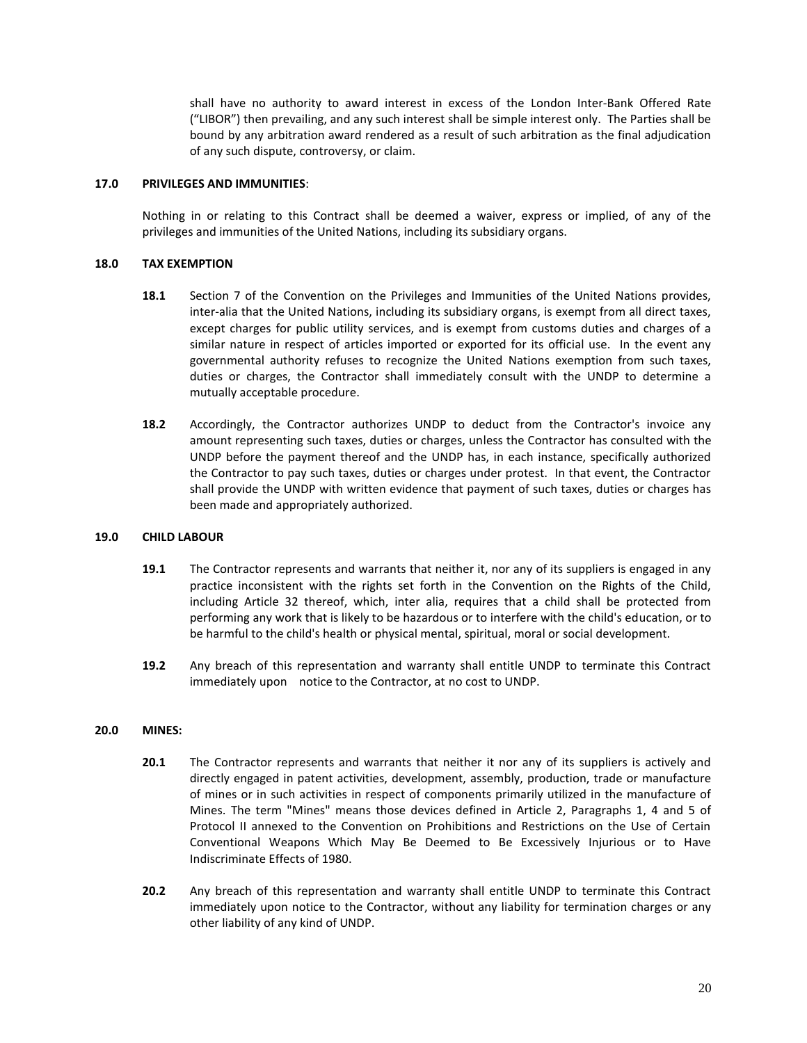shall have no authority to award interest in excess of the London Inter-Bank Offered Rate ("LIBOR") then prevailing, and any such interest shall be simple interest only. The Parties shall be bound by any arbitration award rendered as a result of such arbitration as the final adjudication of any such dispute, controversy, or claim.

#### **17.0 PRIVILEGES AND IMMUNITIES**:

Nothing in or relating to this Contract shall be deemed a waiver, express or implied, of any of the privileges and immunities of the United Nations, including its subsidiary organs.

#### **18.0 TAX EXEMPTION**

- **18.1** Section 7 of the Convention on the Privileges and Immunities of the United Nations provides, inter-alia that the United Nations, including its subsidiary organs, is exempt from all direct taxes, except charges for public utility services, and is exempt from customs duties and charges of a similar nature in respect of articles imported or exported for its official use. In the event any governmental authority refuses to recognize the United Nations exemption from such taxes, duties or charges, the Contractor shall immediately consult with the UNDP to determine a mutually acceptable procedure.
- **18.2** Accordingly, the Contractor authorizes UNDP to deduct from the Contractor's invoice any amount representing such taxes, duties or charges, unless the Contractor has consulted with the UNDP before the payment thereof and the UNDP has, in each instance, specifically authorized the Contractor to pay such taxes, duties or charges under protest. In that event, the Contractor shall provide the UNDP with written evidence that payment of such taxes, duties or charges has been made and appropriately authorized.

#### **19.0 CHILD LABOUR**

- **19.1** The Contractor represents and warrants that neither it, nor any of its suppliers is engaged in any practice inconsistent with the rights set forth in the Convention on the Rights of the Child, including Article 32 thereof, which, inter alia, requires that a child shall be protected from performing any work that is likely to be hazardous or to interfere with the child's education, or to be harmful to the child's health or physical mental, spiritual, moral or social development.
- **19.2** Any breach of this representation and warranty shall entitle UNDP to terminate this Contract immediately upon notice to the Contractor, at no cost to UNDP.

#### **20.0 MINES:**

- **20.1** The Contractor represents and warrants that neither it nor any of its suppliers is actively and directly engaged in patent activities, development, assembly, production, trade or manufacture of mines or in such activities in respect of components primarily utilized in the manufacture of Mines. The term "Mines" means those devices defined in Article 2, Paragraphs 1, 4 and 5 of Protocol II annexed to the Convention on Prohibitions and Restrictions on the Use of Certain Conventional Weapons Which May Be Deemed to Be Excessively Injurious or to Have Indiscriminate Effects of 1980.
- **20.2** Any breach of this representation and warranty shall entitle UNDP to terminate this Contract immediately upon notice to the Contractor, without any liability for termination charges or any other liability of any kind of UNDP.